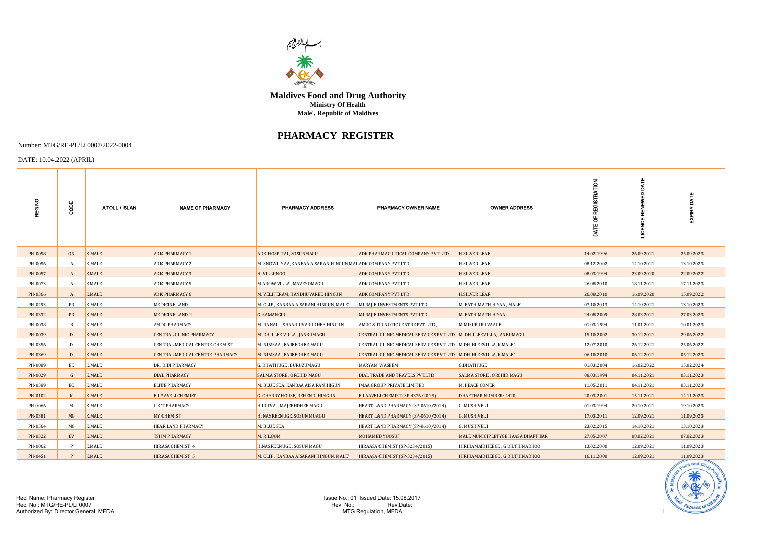

**Maldives Food and Drug Authority Male', Republic of Maldives Ministry Of Health**

## **PHARMACY REGISTER**

## Number: MTG/RE-PL/Li 0007/2022-0004

## DATE: 10.04.2022 (APRIL)

| <b>REGNO</b> | ă            | ATOLL / ISLAN | <b>NAME OF PHARMACY</b>                | <b>PHARMACY ADDRESS</b>                                     | PHARMACY OWNER NAME                                                  | <b>OWNER ADDRESS</b>              |            | DATE<br>A<br>RENEW<br>LICENCE |            |
|--------------|--------------|---------------|----------------------------------------|-------------------------------------------------------------|----------------------------------------------------------------------|-----------------------------------|------------|-------------------------------|------------|
| PH-0058      | QN           | K.MALE        | <b>ADK PHARMACY 1</b>                  | ADK HOSPITAL, SOSUNMAGU                                     | ADK PHARMACUITICAL COMPANY PVT LTD                                   | <b>H.SILVER LEAF</b>              | 14.02.1996 | 26.09.2021                    | 25.09.2023 |
| PH-0056      |              | K.MALE        | <b>ADK PHARMACY 2</b>                  | M. SNOWLIYAA ,KANBAA AISARANIHINGUN,MAL ADK COMPANY PVT LTD |                                                                      | <b>H.SILVER LEAF</b>              | 08.12.2002 | 14.10.2021                    | 13.10.2023 |
| PH-0057      | A            | <b>K.MALE</b> | <b>ADK PHARMACY 3</b>                  | H. VILLUNOO                                                 | ADK COMPANY PVT LTD                                                  | <b>H.SILVER LEAF</b>              | 08.03.1994 | 23.09.2020                    | 22.09.2022 |
| PH-0073      |              | K.MALE        | <b>ADK PHARMACY 5</b>                  | M.AROW VILLA, MAVEYOMAGU                                    | ADK COMPANY PVT LTD                                                  | <b>H.SILVER LEAF</b>              | 26.08.2010 | 18.11.2021                    | 17.11.2023 |
| PH-0366      | A            | <b>K.MALE</b> | <b>ADK PHARMACY 6</b>                  | M. VELIFERAM, HANDHUVAREE HINGUN                            | ADK COMPANY PVT LTD                                                  | <b>H.SILVER LEAF</b>              | 26.08.2010 | 16.09.2020                    | 15.09.2022 |
| PH-0493      | PR           | <b>K.MALE</b> | MEDICINE LAND                          | M. CLIP, KANBAA AISARANI HINGUN, MALE'                      | MI RAJJE INVESTMENTS PVT LTD                                         | M. FATHIMATH HIYAA, MALE'         | 07.10.2013 | 14.10.2021                    | 13.10.2023 |
| PH-0332      | <b>PR</b>    | K.MALE        | <b>MEDICINE LAND 2</b>                 | G. SAMANGIRI                                                | MI RAJJE INVESTMENTS PVT LTD                                         | М. ҒАТНІМАТН НІҮАА                | 24.08.2009 | 28.03.2021                    | 27.03.2023 |
| PH-0038      | -B           | K.MALE        | <b>AMDC PHARMACY</b>                   | M. RANALI, SHAARIUVARUDHEE HINGUN                           | AMDC & DIGNOTIC CENTRE PVT LTD.,                                     | M.MISURURUVAAGE                   | 01.03.1994 | 11.01.2021                    | 10.01.2023 |
| PH-0039      | Ð            | <b>K.MALE</b> | <b>CENTRAL CLINIC PHARMACY</b>         | M. DHILLEE VILLA, JANBUMAGU                                 | CENTRAL CLINIC MEDICAL SERVICES PVT LTD   M. DHILLEEVILLA, JANBUMAGU |                                   | 15.10.2002 | 30.12.2021                    | 29.06.2022 |
| PH-0356      | Ð            | K.MALE        | CENTRAL MEDICAL CENTRE CHEMIST         | M. NIMSAA, FAREEDHEE MAGU                                   | CENTRAL CLINIC MEDICAL SERVICES PVT LTD   M.DHIHLEEVILLA, K.MALE'    |                                   | 12.07.2010 | 26.12.2021                    | 25.06.2022 |
| PH-0369      | $\Gamma$     | K.MALE        | <b>CENTRAL MEDICAL CENTRE PHARMACY</b> | M. NIMSAA, FAREEDHEE MAGU                                   | CENTRAL CLINIC MEDICAL SERVICES PVT LTD M.DHIHLEEVILLA, K.MALE'      |                                   | 06.10.2010 | 06.12.2021                    | 05.12.2023 |
| PH-0089      | EE           | K.MALE        | DR. DIDI PHARMACY                      | G. DHATHUGE , BURUZUMAGU                                    | MARYAM WASEEM                                                        | <b>G.DHATHUGE</b>                 | 01.03.2004 | 16.02.2022                    | 15.02.2024 |
| PH-0029      | $\mathsf{G}$ | <b>K.MALE</b> | <b>DIAL PHARMACY</b>                   | <b>SALMA STORE, ORCHID MAGU</b>                             | DIAL TRADE AND TRAVELS PVT.LTD                                       | <b>SALMA STORE, ORCHID MAGU</b>   | 08.03.1994 | 04.11.2021                    | 03.11.2023 |
| PH-0389      | EC           | K.MALE        | <b>ELITE PHARMACY</b>                  | M. BLUE SEA, KANBAA AISA RANIHIGUN                          | IMAA GROUP PRIVATE LIMITED                                           | M. PEACE CONER                    | 11.05.2011 | 04.11.2021                    | 03.11.2023 |
| PH-0102      |              | <b>K.MALE</b> | <b>FILAAVELI CHEMIST</b>               | G. CHERRY HOUSE, REHENDI HINGUN                             | FILAAVELI CHEMIST (SP-4376/2015)                                     | <b>DHAFTHAR NUMBER: 4420</b>      | 20.03.2001 | 15.11.2021                    | 14.11.2023 |
| PH-0066      | M            | K.MALE        | <b>G.K.T PHARMACY</b>                  | H.IRUVAI , MAJEEHDHEE MAGU                                  | HEART LAND PHARMACY (SP-0610/2014)                                   | <b>G. MUSHIVELI</b>               | 01.03.1994 | 20.10.2021                    | 19.10.2023 |
| PH-0381      | MG           | <b>K.MALE</b> | <b>MY CHEMIST</b>                      | H. NASREENUGE, SOSUN MUAGU                                  | HEART LAND PHARMACY (SP-0610/2014)                                   | <b>G. MUSHIVELI</b>               | 17.03.2011 | 12.09.2021                    | 11.09.2023 |
| PH-0564      | MG           | K.MALE        | <b>HEAR LAND PHARMACY</b>              | M. BLUE SEA                                                 | HEART LAND PHARMACY (SP-0610/2014)                                   | <b>G. MUSHIVELI</b>               | 23.02.2015 | 14.10.2021                    | 13.10.2023 |
| PH-0322      | <b>BV</b>    | <b>K.MALE</b> | <b>TSHM PHARMACY</b>                   | M. RILOOM                                                   | MOHAMED YOOSUF                                                       | MALE MUNICIPLETYGE HAASA DHAFTHAR | 27.05.2007 | 08.02.2021                    | 07.02.2023 |
| PH-0062      |              | <b>K.MALE</b> | HIRASA CHEMIST 4                       | H.NASREENUGE, SOSUN MAGU                                    | HIRAASA CHEMIST (SP-3234/2015)                                       | HIRIHAMAIDHEEGE, G DH.THINADHOO   | 13.02.2000 | 12.09.2021                    | 11.09.2023 |
| PH-0451      |              | <b>K.MALE</b> | HIRASA CHEMIST 5                       | M. CLIP, KANBAA AISARANI HINGUN, MALE'                      | HIRAASA CHEMIST (SP-3234/2015)                                       | HIRIHAMAIDHEEGE, G DH.THINADHOO   | 16.11.2000 | 12.09.2021                    | 11.09.2023 |

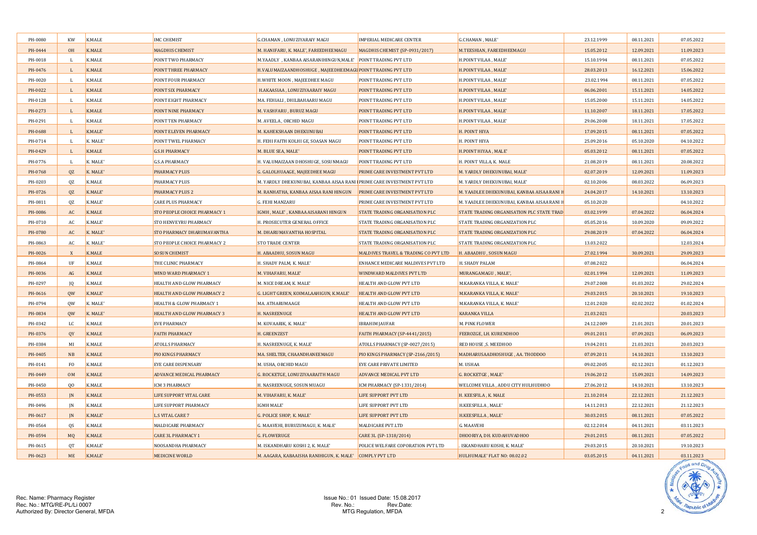| PH-0080 | <b>KW</b>      | K.MALE        | <b>IMC CHEMIST</b>                | G.CHAMAN, LONUZIYARAIY MAGU                                           | <b>IMPERIAL MEDICARE CENTER</b>       | G.CHAMAN, MALE'                            | 23.12.1999 | 08.11.2021 | 07.05.2022 |
|---------|----------------|---------------|-----------------------------------|-----------------------------------------------------------------------|---------------------------------------|--------------------------------------------|------------|------------|------------|
| PH-0444 | <b>OH</b>      | <b>K.MALE</b> | <b>MAGDHIS CHEMIST</b>            | M. HANIFARU, K. MALE', FAREEDHEEMAGU                                  | MAGDHIS CHEMIST (SP-0931/2017)        | M.TEESHIAN, FAREEDHEEMAGU                  | 15.05.2012 | 12.09.2021 | 11.09.2023 |
| PH-0018 | $\mathbf{I}$   | K.MALE        | POINT TWO PHARMACY                | M.YAADLY, KANBAA AISARANIHINGUN, MALE' POINT TRADING PVT LTD          |                                       | H.POINT VILAA, MALE'                       | 15.10.1994 | 08.11.2021 | 07.05.2022 |
| PH-0476 |                | <b>K.MALE</b> | POINT THREE PHARMACY              | H.VALUMAIZAANDHOSHUGE, MAJEEDHEEMAGU POINT TRADING PVT LTD            |                                       | H.POINT VILAA, MALE'                       | 28.03.2013 | 16.12.2021 | 15.06.2022 |
| PH-0020 |                | K.MALE        | POINT FOUR PHARMACY               | H.WHITE MOON, MAJEEDHEE MAGU                                          | POINT TRADING PVT LTD                 | H.POINT VILAA, MALE'                       | 23.02.1994 | 08.11.2021 | 07.05.2022 |
| PH-0022 |                | <b>K.MALE</b> | POINT SIX PHARMACY                | H.AKAASIAA , LONUZIYAARAIY MAGU                                       | POINT TRADING PVT LTD                 | H.POINT VILAA, MALE'                       | 06.06.2001 | 15.11.2021 | 14.05.2022 |
| PH-0128 |                | K.MALE        | POINT EIGHT PHARMACY              | MA. FEHIALI, DHILBAHAARU MAGU                                         | POINT TRADING PVT LTD                 | H.POINT VILAA, MALE'                       | 15.05.2000 | 15.11.2021 | 14.05.2022 |
| PH-0273 |                | K.MALE        | POINT NINE PHARMACY               | M. VASHFARU, BURUZ MAGU                                               | POINT TRADING PVT LTD                 | H.POINT VILAA, MALE'                       | 11.10.2007 | 18.11.2021 | 17.05.2022 |
| PH-0291 |                | K.MALE        | POINT TEN PHARMACY                | M. AVEELA, ORCHID MAGU                                                | POINT TRADING PVT LTD                 | H.POINT VILAA, MALE'                       | 29.06.2008 | 18.11.2021 | 17.05.2022 |
| PH-0688 |                | K.MALE'       | POINT ELEVEN PHARMACY             | M. KAHEKSHAAN DHEKUNUBAI                                              | POINT TRADING PVT LTD                 | H. POINT HIYA                              | 17.09.2015 | 08.11.2021 | 07.05.2022 |
| PH-0714 | $\mathbf{I}$   | K. MALE'      | POINT TWEL PHARMACY               | H. FEHI FAITH KOLHI GE, SOASAN MAGU                                   | POINT TRADING PVT LTD                 | H. POINT HIYA                              | 25.09.2016 | 05.10.2020 | 04.10.2022 |
| PH-0429 | $\mathbf{L}$   | K.MALE        | <b>G.S.H PHARMACY</b>             | M. BLUE SEA, MALE'                                                    | POINT TRADING PVT LTD                 | H.POINT HIYAA, MALE'                       | 05.03.2012 | 08.11.2021 | 07.05.2022 |
| PH-0776 | $\mathbf{I}$   | K. MALE'      | <b>G.S.A PHARMACY</b>             | H. VALUMAIZAAN DHOSHUGE, SOSUNMAGU                                    | POINT TRADING PVT LTD                 | H. POINT VILLA, K. MALE                    | 21.08.2019 | 08.11.2021 | 20.08.2022 |
| PH-0768 | QZ             | K. MALE'      | <b>PHARMACY PLUS</b>              | G. GALOLHUAAGE, MAJEEDHEE MAGU                                        | PRIME CARE INVESTMENT PVT LTD         | M. YARDLY DHEKUNUBAI, MALE'                | 02.07.2019 | 12.09.2021 | 11.09.2023 |
| PH-0203 | QZ             | K.MALE        | <b>PHARMACY PLUS</b>              | M. YARDLY DHEKUNUBAI, KANBAA AISAA RANI PRIME CARE INVESTMENT PVT LTD |                                       | M. YARDLY DHEKUNUBAI, MALE'                | 02.10.2006 | 08.03.2022 | 06.09.2023 |
| PH-0726 | QZ             | K.MALE'       | <b>PHARMACY PLUS 2</b>            | M. RANHATHA, KANBAA AISAA RANI HINGUN PRIME CARE INVESTMENT PVT LTD   |                                       | M. YAADLEE DHEKUNUBAI, KANBAA AISAA RANI I | 24.04.2017 | 14.10.2021 | 13.10.2023 |
| PH-0811 | 0Z             | K.MALE'       | <b>CARE PLUS PHARMACY</b>         | <b>G. FEHI MANZARU</b>                                                | PRIME CARE INVESTMENT PVT LTD         | M. YAADLEE DHEKUNUBAI, KANBAA AISAA RANI F | 05.10.2020 |            | 04.10.2022 |
| PH-0086 | AC             | <b>K.MALE</b> | STO PEOPLE CHOICE PHARMACY 1      | IGMH, MALE', KANBAA AISARANI HINGUN                                   | <b>STATE TRADING ORGANISATION PLC</b> | STATE TRADING ORGANISATION PLC STATE TRAD  | 03.02.1999 | 07.04.2022 | 06.04.2024 |
| PH-0710 | AC             | K.MALE'       | <b>STO HENVEYRU PHARMACY</b>      | H. PROSECUTER GENERAL OFFICE                                          | STATE TRADING ORGANISATION PLC        | STATE TRADING ORGANIZATION PLC             | 05.05.2016 | 10.09.2020 | 09.09.2022 |
| PH-0780 | AC             | K. MALE'      | <b>STO PHARMACY DHARUMAVANTHA</b> | M. DHARUMAVANTHA HOSPITAL                                             | <b>STATE TRADING ORGANISATION PLC</b> | STATE TRADING ORGANIZATION PLC             | 29.08.2019 | 07.04.2022 | 06.04.2024 |
| PH-0863 | AC             | K. MALE'      | STO PEOPLE CHOICE PHARMACY 2      | <b>STO TRADE CENTER</b>                                               | STATE TRADING ORGANISATION PLC        | STATE TRADING ORGANIZATION PLC             | 13.03.2022 |            | 12.03.2024 |
| PH-0026 | $\mathbf{x}$   | <b>K.MALE</b> | <b>SOSUN CHEMIST</b>              | H. ABAADHU, SOSUN MAGU                                                | MALDIVES TRAVEL & TRADING CO PVT LTD  | H. ABAADHU, SOSUN MAGU                     | 27.02.1994 | 30.09.2021 | 29.09.2023 |
| PH-0864 | UF             | K.MALE        | THE CLINIC PHARMACY               | H. SHADY PALM, K. MALE'                                               | ENHANCE MEDICARE MALDIVES PVT LTD     | H. SHADY PALAM                             | 07.08.2022 |            | 06.04.2024 |
| PH-0036 | AG             | K.MALE        | <b>WIND WARD PHARMACY 1</b>       | M. VIHAFARU, MALE'                                                    | WINDWARD MALDIVES PVT LTD             | MURANGAMAGU, MALE',                        | 02.01.1994 | 12.09.2021 | 11.09.2023 |
| PH-0297 | JQ             | K.MALE        | HEALTH AND GLOW PHARMACY          | M. NICE DREAM, K. MALE'                                               | HEALTH AND GLOW PVT LTD               | M.KARANKA VILLA, K. MALE'                  | 29.07.2008 | 01.03.2022 | 29.02.2024 |
| PH-0616 | <b>OW</b>      | K.MALE'       | HEALTH AND GLOW PHARMACY 2        | G. LIGHT GREEN, KOIMALAAHIGUN, K.MALE'                                | HEALTH AND GLOW PVT LTD               | M.KARANKA VILLA, K. MALE'                  | 29.03.2015 | 20.10.2021 | 19.10.2023 |
| PH-0794 | 0 <sub>W</sub> | K. MALE'      | HEALTH & GLOW PHARMACY 1          | MA. ATHARUMAAGE                                                       | HEALTH AND GLOW PVT LTD               | M.KARANKA VILLA, K. MALE'                  | 12.01.2020 | 02.02.2022 | 01.02.2024 |
| PH-0834 | <b>OW</b>      | K. MALE'      | HEALTH AND GLOW PHARMACY 3        | H. NASREENUGE                                                         | HEALTH AND GLOW PVT LTD               | KARANKA VILLA                              | 21.03.2021 |            | 20.03.2023 |
| PH-0342 | LC.            | K.MALE        | <b>EVE PHARMACY</b>               | M. KOVAARIK, K. MALE'                                                 | <b>IBRAHIM JAUFAR</b>                 | M. PINK FLOWER                             | 24.12.2009 | 21.01.2021 | 20.01.2023 |
| PH-0376 | OY             | <b>K.MALE</b> | <b>FAITH PHARMACY</b>             | H. GREENZEST                                                          | <b>FAITH PHARMACY (SP-4441/2015)</b>  | FEEROZGE, LH. KURENDHOO                    | 09.01.2011 | 07.09.2021 | 06.09.2023 |
| PH-0384 | MI             | K.MALE        | <b>ATOLLS PHARMACY</b>            | H. NASREENUGE, K. MALE'                                               | ATOLLS PHARMACY (SP-0027/2015)        | RED HOUSE , S. MEEDHOO                     | 19.04.2011 | 21.03.2021 | 20.03.2023 |
| PH-0405 | NB             | <b>K.MALE</b> | <b>PIO KINGS PHARMACY</b>         | MA. SHELTER, CHAANDHANEEMAGU                                          | PIO KINGS PHARMACY (SP-2166/2015)     | MADHARUSAADHOSHUGE, AA. THODDOO            | 07.09.2011 | 14.10.2021 | 13.10.2023 |
| PH-0141 | F <sub>0</sub> | K.MALE        | <b>EYE CARE DISPENSARY</b>        | M. USHA, ORCHID MAGU                                                  | <b>EYE CARE PRIVATE LIMITED</b>       | M. USHAA                                   | 09.02.2005 | 02.12.2021 | 01.12.2023 |
| PH-0449 | <b>OM</b>      | <b>K.MALE</b> | <b>ADVANCE MEDICAL PHARMACY</b>   | G. ROCKETGE, LONUZIYAARAITH MAGU                                      | <b>ADVANCE MEDICAL PVT LTD</b>        | G. ROCKETGE, MALE'                         | 19.06.2012 | 15.09.2021 | 14.09.2023 |
| PH-0450 | Q <sub>0</sub> | <b>K.MALE</b> | ICM 3 PHARMACY                    | H. NASREENUGE, SOSUN MUAGU                                            | ICM PHARMACY (SP-1331/2014)           | WELCOME VILLA, ADDU CITY HULHUDHOO         | 27.06.2012 | 14.10.2021 | 13.10.2023 |
| PH-0553 | IN             | K.MALE        | LIFE SUPPORT VITAL CARE           | M. VIHAFARU, K. MALE'                                                 | LIFE SUPPORT PVT LTD                  | H. KEESFILA, K. MALE                       | 21.10.2014 | 22.12.2021 | 21.12.2023 |
| PH-0496 | IN             | K.MALE        | <b>LIFE SUPPORT PHARMACY</b>      | IGMH MALE'                                                            | LIFE SUPPORT PVT LTD                  | H.KEESFILLA, MALE'                         | 14.11.2013 | 22.12.2021 | 21.12.2023 |
| PH-0617 | IN             | K.MALE'       | <b>L.S VITAL CARE 7</b>           | G. POLICE SHOP, K. MALE'                                              | <b>LIFE SUPPORT PVT LTD</b>           | H.KEESFILLA, MALE'                         | 30.03.2015 | 08.11.2021 | 07.05.2022 |
| PH-0564 | <b>OS</b>      | K.MALE        | MALDICARE PHARMACY                | G. MAAVEHI, BURUZUMAGU, K. MALE'                                      | MALDICARE PVT.LTD                     | G. MAAVEHI                                 | 02.12.2014 | 04.11.2021 | 03.11.2023 |
| PH-0594 | M <sub>Q</sub> | <b>K.MALE</b> | <b>CARE 3L PHARMACY 1</b>         | <b>G. FLOWERUGE</b>                                                   | CARE 3L (SP-1318/2014)                | DHOORIYA, DH. KUDAHUVADHOO                 | 29.01.2015 | 08.11.2021 | 07.05.2022 |
| PH-0615 | <sub>OT</sub>  | K.MALE'       | NOOSANDHA PHARMACY                | M. ISKANDHARU KOSHI 2. K. MALE'                                       | POLICE WELFARE COPORATION PVT LTD     | ISKANDHARU KOSHI, K. MALE'                 | 29.03.2015 | 20.10.2021 | 19.10.2023 |
| PH-0623 | <b>ME</b>      | K.MALE'       | <b>MEDICINE WORLD</b>             | M. AAGARA, KABAAISHA RANIHIGUN, K. MALE' COMPLY PVT LTD               |                                       | HULHUMALE' FLAT NO: 08.02.02               | 03.05.2015 | 04.11.2021 | 03.11.2023 |

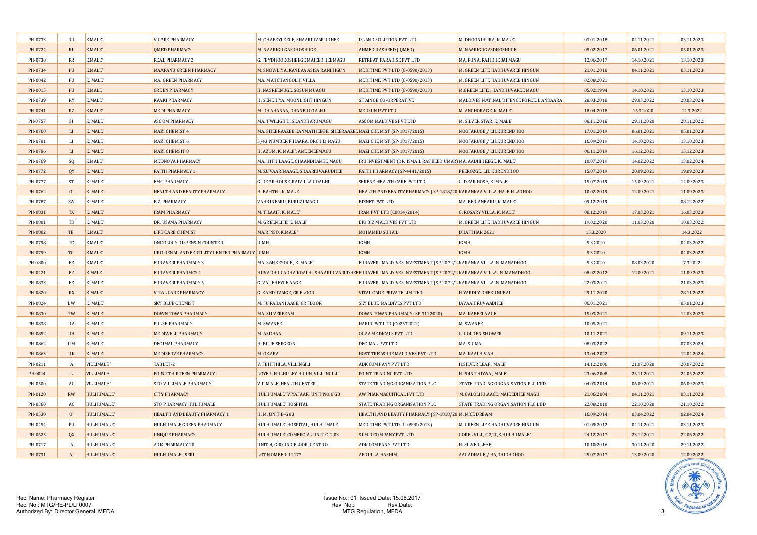| PH-0733 | <b>RU</b>      | K.MALE'          | <b>V CARE PHARMACY</b>                       | M. CHABEYLEEGE, SHAARIUVARUDHEE                                                                            | <b>ISLAND SOLUTION PVT LTD</b>                                       | M. DHOONIHURA, K. MALE'                  | 03.01.2018 | 04.11.2021 | 03.11.2023 |
|---------|----------------|------------------|----------------------------------------------|------------------------------------------------------------------------------------------------------------|----------------------------------------------------------------------|------------------------------------------|------------|------------|------------|
| PH-0724 | RL             | K.MALE'          | <b>QMED PHARMACY</b>                         | M. NAARIGU GASDHOSHUGE                                                                                     | AHMED RASHEED ( QMED)                                                | M. NAARIGUGASDHOSHUGE                    | 05.02.2017 | 06.01.2021 | 05.01.2023 |
| PH-0730 | RR             | K.MALE'          | <b>REAL PHARMACY 2</b>                       | G. FEYDHOOKOSHEEGE MAJEEDHEEMAGU                                                                           | RETREAT PARADISE PVT LTD                                             | MA. FUNA, RAHDHEBAI MAGU                 | 12.06.2017 | 14.10.2021 | 13.10.2023 |
| PH-0734 | PU             | K.MALE'          | <b>MAAFANU GREEN PHARMACY</b>                | M. SNOWLIYA, KANBAA ASISA RANIHIGUN                                                                        | MEDITIME PVT LTD (C-0590/2013)                                       | M. GREEN LIFE HADHUVAREE HINGUN          | 21.01.2018 | 04.11.2021 | 03.11.2023 |
| PH-0842 | PU             | K. MALE'         | MA. GREEN PHARMACY                           | MA. MAHCHANGOLHI VILLA                                                                                     | MEDITIME PVT LTD (C-0590/2013)                                       | M. GREEN LIFE HADHUVAREE HINGUN          | 02.08.2021 |            |            |
| PH-0015 | PU             | <b>K.MALE</b>    | <b>GREEN PHARMACY</b>                        | H. NASREENUGE, SOSUN MUAGU                                                                                 | MEDITIME PVT LTD (C-0590/2013)                                       | <b>M.GREEN LIFE, HANDHUVAREE MAGU</b>    | 05.02.1994 | 14.10.2021 | 13.10.2023 |
| PH-0739 | <b>RY</b>      | K.MALE'          | <b>KAAKI PHARMACY</b>                        | H. SENEHIYA, MOONLIGHT HINGUN                                                                              | SIFAINGE CO-ORPERATIVE                                               | MALDIVES NATINAL DIFENCE FORCE, BANDAARA | 28.03.2018 | 29.03.2022 | 28.03.2024 |
| PH-0741 | RZ             | K.MALE'          | <b>MEDI PHARMACY</b>                         | M. DHAHANAA, DHANBUGOALHI                                                                                  | <b>MEDSUN PVT LTD</b>                                                | M. ANCHORAGE, K. MALE'                   | 18.04.2018 | 15.3.2020  | 14.3.2022  |
| PH-0757 | <sub>S</sub>   | K. MALE'         | <b>ASCOM PHARMACY</b>                        | MA. TWILIGHT, ISKANDHARUMAGU                                                                               | ASCOM MALDIVES PVT LTD                                               | M. SILVER STAR, K. MALE'                 | 08.11.2018 | 29.11.2020 | 28.11.2022 |
| PH-0760 | L1             | K. MALE'         | <b>MAZI CHEMIST 4</b>                        | MA. SHEERAAZEE KANMATHEEGE, SHEERAAZEE MAZI CHEMIST (SP-1817/2015)                                         |                                                                      | NOOFARUGE / LH.KURENDHOO                 | 17.01.2019 | 06.01.2021 | 05.01.2023 |
| PH-0781 | LI             | K. MALE'         | MAZI CHEMIST 6                               | 5/43 NUMBER FIHAARA, ORCHID MAGU                                                                           | MAZI CHEMIST (SP-1817/2015)                                          | NOOFARUGE / LH.KURENDHOO                 | 16.09.2019 | 14.10.2021 | 13.10.2023 |
| PH-0786 | L              | K. MALE'         | MAZI CHEMSIT 8                               | H. AZUM, K. MALE', AMEENEEMAGU                                                                             | MAZI CHEMIST (SP-1817/2015)                                          | NOOFARUGE / LH.KURENDHOO                 | 06.11.2019 | 16.12.2021 | 15.12.2023 |
| PH-0769 | <sub>SO</sub>  | K.MALE'          | MEDNOVA PHARMACY                             | MA. HITHILAAGE, CHAANDHANEE MAGU                                                                           | IRU INVESTMENT (DR. ISMAIL RASHEED UMAR) MA. AADHIHEEGE, K. MALE'    |                                          | 10.07.2019 | 14.02.2022 | 13.02.2024 |
| PH-0772 | QY             | K. MALE'         | <b>FAITH PHARMACY 1</b>                      | M. ZUVAARIMAAGE, SHAARIUVARUDHEE                                                                           | <b>FAITH PHARMACY (SP-4441/2015)</b>                                 | FEEROZGE, LH. KURENDHOO                  | 15.07.2019 | 20.09.2021 | 19.09.2023 |
| PH-0777 | <b>ST</b>      | K. MALE'         | <b>EMC PHARMACY</b>                          | G. DEAR HOUSE, RAIVILLA GOALHI                                                                             | <b>SERENE HEALTH CARE PVT LTD</b>                                    | G. DEAR HOSE, K. MALE'                   | 15.07.2019 | 15.09.2021 | 14.09.2023 |
| PH-0762 | O <sub>I</sub> | K. MALE'         | HEALTH AND BEAUTY PHARMACY                   | H. BAHTHI, K. MALE                                                                                         | HEALTH AND BEAUTY PHARMACY (SP-1818/20 KARANKAA VILLA, HA. FIHLADHOO |                                          | 10.02.2019 | 12.09.2021 | 11.09.2023 |
| PH-0787 | SW             | K. MALE'         | <b>BIZ PHARMACY</b>                          | VAHBINFARU, BURUZUMAGU                                                                                     | <b>BIZNET PVT LTD</b>                                                | MA. BERIANFARU, K. MALE'                 | 09.12.2019 |            | 08.12.2022 |
| PH-0831 | <b>TX</b>      | K. MALE'         | <b>IRAM PHARMACY</b>                         | M. THAAIF, K. MALE'                                                                                        | IRAM PVT LTD (C0814/2014)                                            | G. ROSARY VILLA, K. MALE'                | 08.12.2019 | 17.03.2021 | 16.03.2023 |
| PH-0801 | TD             | K. MALE'         | DR. USAMA PHARMACY                           | M. GREENLIFE, K. MALE'                                                                                     | <b>BIO BIZ MALDIVES PVT LTD</b>                                      | M. GREEN LIFE HADHUVAREE HINGUN          | 19.02.2020 | 11.03.2020 | 10.03.2022 |
| PH-0802 | TE             | K.MALE'          | <b>LIFE CARE CHEMIST</b>                     | MA.RINSO, K.MALE'                                                                                          | <b>MOHAMED SUHAIL</b>                                                | DHAFTHAR 2621                            | 15.3.2020  |            | 14.3.2022  |
| PH-0798 | TC             | K.MALE'          | ONCOLOGY DISPENSIN COUNTER                   | IGMH                                                                                                       | IGMH                                                                 | IGMH                                     | 5.3.2020   |            | 04.03.2022 |
| PH-0799 | <b>TC</b>      | K.MALE'          | URO RENAL AND FERTILITY CENTER PHARMACY IGMH |                                                                                                            | <b>IGMH</b>                                                          | <b>IGMH</b>                              | 5.3.2020   |            | 04.03.2022 |
| PH-0800 | FE             | K.MALE'          | <b>FURAVERI PHARMACY 3</b>                   | MA. SAHKEYOGE, K. MALE'                                                                                    | FURAVERI MALDIVES INVESTMENT (SP-2072/2 KARANKA VILLA, N. MANADHOO   |                                          | 5.3.2020   | 08.03.2020 | 7.3.2022   |
| PH-0421 | FE             | <b>K.MALE</b>    | <b>FURAVERI PHARMCY 4</b>                    | HUVADHU GADHA KOALHI, SHAARIU VARUDHEI FURAVERI MALDIVES INVESTMENT (SP-2072/2 KARANKAA VILLA, N. MANADHOO |                                                                      |                                          | 08.02.2012 | 12.09.2021 | 11.09.2023 |
| PH-0833 | FE             | K. MALE'         | <b>FURAVERI PHARMACY 5</b>                   | <b>G. VAIJEHEYGE AAGE</b>                                                                                  | FURAVERI MALDIVES INVESTMENT (SP-2072/2 KARANKA VILLA, N. MANADHOO   |                                          | 22.03.2021 |            | 21.03.2023 |
| PH-0820 | <b>RX</b>      | K.MALE'          | <b>VITAL CARE PHARMACY</b>                   | G. KANDUVAIGE, GR FLOOR                                                                                    | <b>VITAL CARE PRIVATE LIMITED</b>                                    | <b>H.YARDLY DHEKUNUBAI</b>               | 29.11.2020 |            | 28.11.2022 |
| PH-0824 | LW             | K. MALE'         | <b>SKY BLUE CHEMIST</b>                      | M. FURAHANI AAGE, GR FLOOR                                                                                 | <b>SKY BLUE MALDIVES PVT LTD</b>                                     | <b>JAVAAHIRUVAADHEE</b>                  | 06.01.2021 |            | 05.01.2023 |
| PH-0830 | TW             | K. MALE'         | <b>DOWN TOWN PHARMACY</b>                    | MA. SILVERBEAM                                                                                             | DOWN TOWN PHARMACY (SP-3112020)                                      | MA. KABEELAAGE                           | 15.03.2021 |            | 14.03.2023 |
| PH-0838 | UA             | K. MALE'         | <b>PULSE PHARMACY</b>                        | M. SWANEE                                                                                                  | HARIR PVT LTD (C02532021)                                            | M. SWANEE                                | 10.05.2021 |            |            |
| PH-0852 | <b>UH</b>      | K. MALE'         | <b>MEDIWELL PHARMACY</b>                     | M. ASDHAA                                                                                                  | OGAA MEDICALS PVT LTD                                                | <b>G. GOLDEN SHOWER</b>                  | 10.11.2021 |            | 09.11.2023 |
| PH-0862 | <b>UM</b>      | K. MALE'         | <b>DECIMAL PHARMACY</b>                      | H. BLUE SERGEON                                                                                            | <b>DECIMAL PVT LTD</b>                                               | MA. SIGMA                                | 08.03.2022 |            | 07.03.2024 |
| PH-0863 | UK             | K. MALE'         | <b>MEDISERVE PHARMACY</b>                    | M. OKARA                                                                                                   | HOST TREASURE MALDIVES PVT LTD                                       | MA. KAALHIVAH                            | 13.04.2022 |            | 12.04.2024 |
| PH-0211 | $\overline{A}$ | VILLIMALE'       | TABLET-2                                     | V. FEHITHILA, VILLINGILI                                                                                   | <b>ADK COMPANY PVT LTD</b>                                           | H.SILVER LEAF, MALE'                     | 14.12.2006 | 21.07.2020 | 20.07.2022 |
| PH 0024 | <b>I</b> .     | <b>VILLIMALE</b> | POINT THIRTEEN PHARMACY                      | LOYER, HULHULEY HIGUN, VILLINGILLI                                                                         | POINT TRADING PVT LTD                                                | H.POINT HIYAA, MALE'                     | 23.06.2008 | 25.11.2021 | 24.05.2022 |
| PH-0500 | AC             | VILLIMALE'       | <b>STO VILLIMALE PHARMACY</b>                | <b>VILIMALE' HEALTH CENTER</b>                                                                             | STATE TRADING ORGANISATION PLC                                       | STATE TRADING ORGANISATION PLC LTD       | 04.03.2014 | 06.09.2021 | 06.09.2023 |
| PH-0120 | <b>RW</b>      | HULHUMALE'       | <b>CITY PHARMACY</b>                         | HULHUMALE' VIYAFAARI UNIT NO:6 GB                                                                          | AW PHARMACUITICAL PVT LTD                                            | M. GALOLHU AAGE, MAJEEDHEE MAGU          | 21.06.2004 | 04.11.2021 | 03.11.2023 |
| PH-0360 | AC             | HULHUMALE'       | <b>STO PHARMACY HULHUMALE</b>                | HULHUMALE' HOSPITAL                                                                                        | STATE TRADING ORGANISATION PLC                                       | STATE TRADING ORGANISATION PLC LTD       | 22.08.2010 | 22.10.2020 | 21.10.2022 |
| PH-0530 | O <sub>I</sub> | HULHUMALE'       | HEALTH AND BEAUTY PHARMACY 1                 | <b>H. M. UNIT E-G 03</b>                                                                                   | HEALTH AND BEAUTY PHARMACY (SP-1818/20 M. NICE DREAM                 |                                          | 16.09.2014 | 03.04.2022 | 02.04.2024 |
| PH-0454 | PU             | HULHUMALE'       | HULHUMALE GREEN PHARMACY                     | HULHUMALE' HOSPITAL, HULHUMALE                                                                             | MEDITIME PVT LTD (C-0590/2013)                                       | M. GREEN LIFE HADHUVAREE HINGUN          | 01.09.2012 | 04.11.2021 | 03.11.2023 |
| PH-0625 | <b>QX</b>      | HULHUMALE'       | <b>UNIQUE PHARMACY</b>                       | HULHUMALE' COMERCIAL UNIT C-1-03                                                                           | <b>S.I.M.R COMPANY PVT LTD</b>                                       | COREL VILL, C2,2C, K.HULHUMALE'          | 24.12.2017 | 23.12.2021 | 22.06.2022 |
| PH-0717 | A              | HULHUMALE'       | <b>ADK PHARMACY 10</b>                       | UNIT 4, GROUND FLOOR, CENTRO                                                                               | <b>ADK COMPANY PVT LTD</b>                                           | H. SILVER LEEF                           | 10.10.2016 | 30.11.2020 | 29.11.2022 |
| PH-0731 | AI             | HULHUMALE'       | HULHUMALE' ISERI                             | LOT NOMBER: 11177                                                                                          | <b>ABDULLA HASHIM</b>                                                | AAGADHAGE / HA,DHIDHDHOO                 | 25.07.2017 | 13.09.2020 | 12.09.2022 |

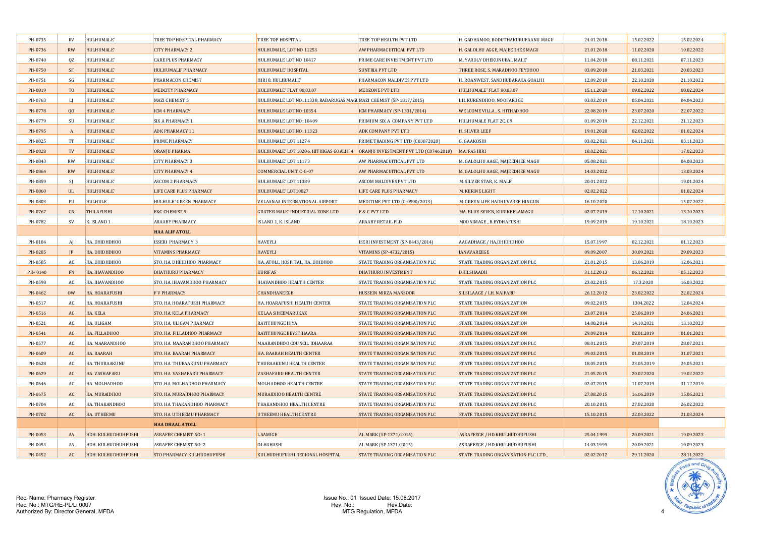| PH-0735 | <b>RV</b>      | HULHUMALE'          | TREE TOP HOSPITAL PHARMACY        | TREE TOP HOSPITAL                                                             | TREE TOP HEALTH PVT LTD               | H. GADHAMOO, BODUTHAKURUFAANU MAGU | 24.01.2018 | 15.02.2022 | 15.02.2024 |
|---------|----------------|---------------------|-----------------------------------|-------------------------------------------------------------------------------|---------------------------------------|------------------------------------|------------|------------|------------|
| PH-0736 | <b>RW</b>      | HULHUMALE'          | <b>CITY PHARMACY 2</b>            | HULHUMALE, LOT NO 11253                                                       | AW PHARMACUITICAL PVT LTD             | H. GALOLHU AGGE, MAJEEDHEE MAGU    | 21.01.2018 | 11.02.2020 | 10.02.2022 |
| PH-0740 | QZ             | HULHUMALE'          | <b>CARE PLUS PHARMACY</b>         | HULHUMALE LOT NO 10417                                                        | PRIME CARE INVESTMENT PVT LTD         | M. YARDLY DHEKUNUBAI, MALE'        | 11.04.2018 | 08.11.2021 | 07.11.2023 |
| PH-0750 | <b>SF</b>      | HULHUMALE'          | HULHUMALE' PHARMACY               | HULHUMALE' HOSPITAL                                                           | <b>SUNTRIA PVT LTD</b>                | THREE ROSE, S. MARADHOO FEYDHOO    | 03.09.2018 | 21.03.2021 | 20.03.2023 |
| PH-0751 | SG             | HULHUMALE'          | PHARMACON CHEMIST                 | HIRI 8, HULHUMALE'                                                            | PHARMACON MALDIVES PVT LTD            | H. ROANWEST, SANDHUBARAKA GOALHI   | 12.09.2018 | 22.10.2020 | 21.10.2022 |
| PH-0819 | T <sub>0</sub> | HULHUMALE'          | <b>MEDCITY PHARMACY</b>           | HULHUMALE' FLAT 80,03,07                                                      | <b>MEDZONE PVT LTD</b>                | HULHUMALE' FLAT 80,03,07           | 15.11.2020 | 09.02.2022 | 08.02.2024 |
| PH-0763 | - Li           | HULHUMALE'          | MAZI CHEMIST 5                    | HULHUMALE LOT NO:.11338, RABARUGAS MAGI MAZI CHEMIST (SP-1817/2015)           |                                       | LH. KURENDHOO, NOOFARUGE           | 03.03.2019 | 05.04.2021 | 04.04.2023 |
| PH-0778 | 00             | HULHUMALE'          | ICM 4 PHARMACY                    | HULHUMALE LOT NO:10354                                                        | ICM PHARMACY (SP-1331/2014)           | WELCOME VILLA, S. HITHADHOO        | 22.08.2019 | 23.07.2020 | 22.07.2022 |
| PH-0779 | SU             | HULHUMALE'          | <b>SIX A PHARMACY 1</b>           | HULHUMALE LOT NO: 10409                                                       | PRIMIUM SIX A COMPANY PVT LTD         | HULHUMALE FLAT 2C, C9              | 01.09.2019 | 22.12.2021 | 21.12.2023 |
| PH-0795 | $\overline{A}$ | HULHUMALE'          | <b>ADK PHARMACY 11</b>            | HULHUMALE LOT NO: 11323                                                       | ADK COMPANY PVT LTD                   | H. SILVER LEEF                     | 19.01.2020 | 02.02.2022 | 01.02.2024 |
| PH-0825 | TT             | HULHUMALE'          | PRIME PHARMACY                    | HULHUMALE' LOT 11274                                                          | PRIME TRADING PVT LTD (C03872020)     | G. GAAKOSHI                        | 03.02.2021 | 04.11.2021 | 03.11.2023 |
| PH-0828 | TV             | HULHUMALE'          | ORANJU PHARMA                     | HULHUMALE' LOT 10206, HITHIGAS GOALHI 4 ORANJU INVESTMENT PVT LTD (C07462018) |                                       | MA. FAS HIRI                       | 18.02.2021 |            | 17.02.2023 |
| PH-0843 | <b>RW</b>      | HULHUMALE'          | <b>CITY PHARMACY 3</b>            | HULHUMALE' LOT 11173                                                          | AW PHARMACUITICAL PVT LTD             | M. GALOLHU AAGE, MAJEEDHEE MAGU    | 05.08.2021 |            | 04.08.2023 |
| PH-0864 | <b>RW</b>      | HULHUMALE'          | <b>CITY PHARMACY 4</b>            | <b>COMMERCIAL UNIT C-G-07</b>                                                 | AW PHARMACUITICAL PVT LTD             | M. GALOLHU AAGE, MAJEEDHEE MAGU    | 14.03.2022 |            | 13.03.2024 |
| PH-0859 | $\mathcal{S}$  | HULHUMALE'          | <b>ASCOM 2 PHARMACY</b>           | HULHUMALE' LOT 11389                                                          | <b>ASCOM MALDIVES PVT LTD</b>         | M. SILVER STAR, K. MALE'           | 20.01.2022 |            | 19.01.2024 |
| PH-0860 | <b>UL</b>      | HULHUMALE'          | <b>LIFE CARE PLUS PHARMACY</b>    | HULHUMALE' LOT10027                                                           | LIFE CARE PLUS PHARMACY               | M. KERINE LIGHT                    | 02.02.2022 |            | 01.02.2024 |
| PH-0803 | PU             | HULHULE             | HULHULE' GREEN PHARMACY           | VELAANAA INTERNATIONAL AIRPORT                                                | MEDITIME PVT LTD (C-0590/2013)        | M. GREEN LIFE HADHUVAREE HINGUN    | 16.10.2020 |            | 15.07.2022 |
| PH-0767 | CN             | <b>THILAFUSHI</b>   | <b>F&amp;C CHEMIST 9</b>          | <b>GRATER MALE' INDUSTRIAL ZONE LTD</b>                                       | F & C PVT LTD                         | MA. BLUE SEVEN, KURIKEELAMAGU      | 02.07.2019 | 12.10.2021 | 13.10.2023 |
| PH-0782 | <b>SV</b>      | K. ISLAND 1         | <b>ARAABY PHARMACY</b>            | ISLAND 1, K. ISLAND                                                           | <b>ARAABY RETAIL PLD</b>              | MOONIMAGE, B.EYDHAFUSHI            | 19.09.2019 | 19.10.2021 | 18.10.2023 |
|         |                |                     | <b>HAA ALIF ATOLL</b>             |                                                                               |                                       |                                    |            |            |            |
| PH-0104 | AJ             | HA. DHIDHDHOO       | <b>ISSERI PHARMACY 3</b>          | <b>HAVEYLI</b>                                                                | ISERI INVESTMENT (SP-0443/2014)       | AAGADHAGE / HA,DHIDHDHOO           | 15.07.1997 | 02.12.2021 | 01.12.2023 |
| PH-0285 | $\mathbf{H}$   | HA. DHIDHDHOO       | <b>VITAMINS PHARMACY</b>          | <b>HAVEYLI</b>                                                                | VITAMINS (SP-4732/2015)               | <b>JANAVAREEGE</b>                 | 09.09.2007 | 30.09.2021 | 29.09.2023 |
| PH-0585 | AC             | НА. DHIDHDHOO       | STO. HA. DHIHDHOO PHARMACY        | HA. ATOLL HOSPITAL, HA. DHIDHOO                                               | STATE TRADING ORGANISATION PLC        | STATE TRADING ORGANIZATION PLC     | 21.01.2015 | 13.06.2019 | 12.06.2021 |
| PH-0140 | FN             | HA. IHAVANDHOO      | <b>DHATHURU PHARMACY</b>          | <b>KURIFAS</b>                                                                | <b>DHATHURU INVESTMENT</b>            | <b>DHILSHAADH</b>                  | 31.12.2013 | 06.12.2021 | 05.12.2023 |
| PH-0598 | AC             | HA. IHAVANDHOO      | STO. HA. IHAVANDHOO PHARMACY      | <b>IHAVANDHOO HEALTH CENTER</b>                                               | STATE TRADING ORGANISATION PLC        | STATE TRADING ORGANIZATION PLC     | 23.02.2015 | 17.3.2020  | 16.03.2022 |
| PH-0462 | <b>OW</b>      | HA. HOARAFUSHI      | <b>F V PHARMACY</b>               | <b>CHANDHANEEGE</b>                                                           | HUSSEIN MIRZA MANSOOR                 | SILSILAAGE / LH. NAIFARU           | 26.12.2012 | 23.02.2022 | 22.02.2024 |
| PH-0517 | AC             | HA. HOARAFUSHI      | STO. HA. HOARAFUSHI PHARMACY      | HA. HOARAFUSHI HEALTH CENTER                                                  | STATE TRADING ORGANISATION PLC        | STATE TRADING ORGANIZATION         | 09.02.2015 | 1304.2022  | 12.04.2024 |
| PH-0516 | AC             | HA. KELA            | STO. HA. KELA PHARMACY            | <b>KELAA SIHEEMARUKAZ</b>                                                     | STATE TRADING ORGANISATION PLC        | STATE TRADING ORGANIZATION         | 23.07.2014 | 25.06.2019 | 24.06.2021 |
| PH-0521 | AC             | HA. ULIGAM          | STO. HA. ULIGAM PHARMACY          | <b>RAYITHUNGE HIYA</b>                                                        | STATE TRADING ORGANISATION PLC        | STATE TRADING ORGANIZATION         | 14.08.2014 | 14.10.2021 | 13.10.2023 |
| PH-0541 | AC             | HA. FILLADHOO       | STO. HA. FILLADHOO PHARMACY       | RAYITHUNGE BEYSFIHAARA                                                        | <b>STATE TRADING ORGANISATION PLC</b> | STATE TRADING ORGANIZATION         | 29.09.2014 | 02.01.2019 | 01.01.2021 |
| PH-0577 | AC             | HA. MAARANDHOO      | STO. HA. MAARANDHOO PHARMACY      | MAARANDHOO COUNCIL IDHAARAA                                                   | STATE TRADING ORGANISATION PLC        | STATE TRADING ORGANIZATION PLC     | 08.01.2015 | 29.07.2019 | 28.07.2021 |
| PH-0609 | <b>AC</b>      | HA. BAARAH          | <b>STO. HA. BAARAH PHARMACY</b>   | HA. BAARAH HEALTH CENTER                                                      | STATE TRADING ORGANISATION PLC        | STATE TRADING ORGANIZATION PLC     | 09.03.2015 | 01.08.2019 | 31.07.2021 |
| PH-0628 | AC             | HA. THURAAKUNU      | STO. HA. THURAAKUNU PHARMACY      | THURAAKUNU HEALTH CENTER                                                      | STATE TRADING ORGANISATION PLC        | STATE TRADING ORGANIZATION PLC     | 18.05.2015 | 23.05.2019 | 24.05.2021 |
| PH-0629 | AC             | HA. VASHAFARU       | STO. HA. VASHAFARU PHARMACY       | <b>VASHAFARU HEALTH CENTER</b>                                                | STATE TRADING ORGANISATION PLC        | STATE TRADING ORGANIZATION PLC     | 21.05.2015 | 20.02.2020 | 19.02.2022 |
| PH-0646 | AC             | HA. MOLHADHOO       | STO .HA. MOLHADHOO PHARMACY       | MOLHADHOO HEALTH CENTRE                                                       | STATE TRADING ORGANISATION PLC        | STATE TRADING ORGANIZATION PLC     | 02.07.2015 | 11.07.2019 | 31.12.2019 |
| PH-0675 | AC             | HA. MURAIDHOO       | STO. HA. MURAIDHOO PHARMACY       | <b>MURAIDHOO HEALTH CENTRE</b>                                                | STATE TRADING ORGANISATION PLC        | STATE TRADING ORGANIZATION PLC     | 27.08.2015 | 16.06.2019 | 15.06.2021 |
| PH-0704 | AC             | HA. THAKANDHOO      | STO. HA. THAKANDHOO PHARMACY      | THAKANDHOO HEALTH CENTRE                                                      | STATE TRADING ORGANISATION PLC        | STATE TRADING ORGANIZATION PLC     | 20.10.2015 | 27.02.2020 | 26.02.2022 |
| PH-0702 | <b>AC</b>      | HA. UTHEEMU         | STO. HA. UTHEEMU PHARMACY         | UTHEEMU HEALTH CENTRE                                                         | STATE TRADING ORGANISATION PLC        | STATE TRADING ORGANIZATION PLC     | 15.10.2015 | 22.03.2022 | 21.03.2024 |
|         |                |                     | <b>HAA DHAAL ATOLL</b>            |                                                                               |                                       |                                    |            |            |            |
| PH-0053 | AA             | HDH. KULHUDHUHFUSHI | <b>ASRAFEE CHEMIST NO: 1</b>      | LAAMIGE                                                                       | AL MARK (SP-1371/2015)                | ASRAFEEGE / HD.KHULHUDHUFUSHI      | 25.04.1999 | 20.09.2021 | 19.09.2023 |
| PH-0054 | AA             | HDH. KULHUDHUHFUSHI | <b>ASRAFEE CHEMIST NO: 2</b>      | OLHAHASHI                                                                     | AL MARK (SP-1371/2015)                | ASRAFEEGE / HD.KHULHUDHUFUSHI      | 14.03.1999 | 20.09.2021 | 19.09.2023 |
| PH-0452 | AC             | HDH. KULHUDHUHFUSHI | <b>STO PHARMACY KULHUDHUFUSHI</b> | KULHUDHUFUSHI REGIONAL HOSPITAL                                               | STATE TRADING ORGANISATION PLC        | STATE TRADING ORGANISATION PLC LTD | 02.02.2012 | 29.11.2020 | 28.11.2022 |

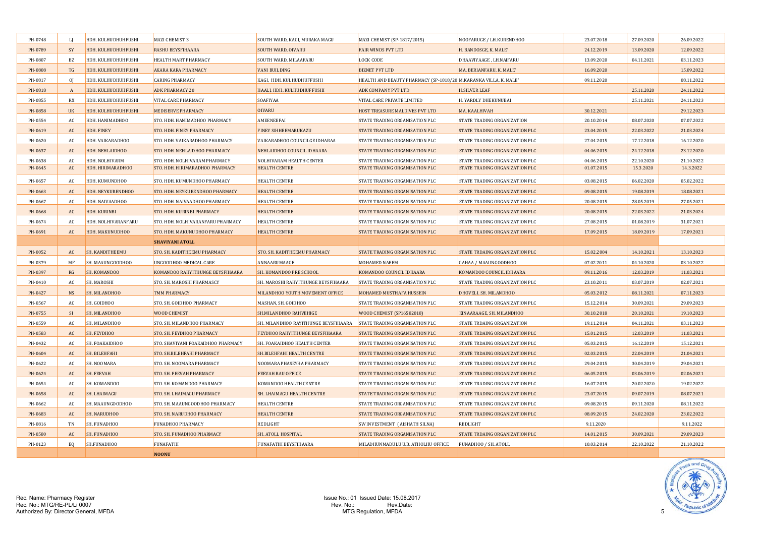| PH-0748 | LI                     | HDH. KULHUDHUHFUSHI | <b>MAZI CHEMIST 3</b>              | SOUTH WARD, KAGI, MURAKA MAGU        | MAZI CHEMIST (SP-1817/2015)                                      | NOOFARUGE / LH.KURENDHOO              | 23.07.2018 | 27.09.2020 | 26.09.2022 |
|---------|------------------------|---------------------|------------------------------------|--------------------------------------|------------------------------------------------------------------|---------------------------------------|------------|------------|------------|
| PH-0789 | SY                     | HDH. KULHUDHUHFUSHI | <b>RASHU BEYSFIHAARA</b>           | SOUTH WARD, OIVARU                   | <b>FAIR WINDS PVT LTD</b>                                        | H. BANDOSGE, K. MALE'                 | 24.12.2019 | 13.09.2020 | 12.09.2022 |
| PH-0807 | BZ                     | HDH. KULHUDHUHFUSHI | HEALTH MART PHARMACY               | SOUTH WARD, MILAAFARU                | <b>LOCK CODE</b>                                                 | DHAAVIYAAGE, LH.NAIFARU               | 13.09.2020 | 04.11.2021 | 03.11.2023 |
| PH-0808 | TG                     | HDH. KULHUDHUHFUSHI | <b>AKARA KARA PHARMACY</b>         | <b>VANI BUILDING</b>                 | <b>BIZNET PVT LTD</b>                                            | MA. BERIANFARU, K. MALE'              | 16.09.2020 |            | 15.09.2022 |
| PH-0817 | $_{0}$                 | HDH. KULHUDHUHFUSHI | <b>CARING PHARMACY</b>             | KAGI, HDH. KULHUDHUFFUSHI            | HEALTH AND BEAUTY PHARMACY (SP-1818/20 M.KARANKA VILLA, K. MALE' |                                       | 09.11.2020 |            | 08.11.2022 |
| PH-0818 | $\overline{A}$         | HDH. KULHUDHUHFUSHI | <b>ADK PHARMACY 20</b>             | HAALI, HDH. KULHUDHUFFUSHI           | <b>ADK COMPANY PVT LTD</b>                                       | <b>H.SILVER LEAF</b>                  |            | 25.11.2020 | 24.11.2022 |
| PH-0855 | RX                     | HDH. KULHUDHUHFUSHI | <b>VITAL CARE PHARMACY</b>         | SOAFIYAA                             | VITAL CARE PRIVATE LIMITED                                       | H. YARDLY DHEKUNUBAI                  |            | 25.11.2021 | 24.11.2023 |
| PH-0858 | <b>UK</b>              | HDH. KULHUDHUHFUSHI | <b>MEDISERVE PHARMACY</b>          | <b>OIVARU</b>                        | HOST TREASURE MALDIVES PVT LTD                                   | MA. KAALHIVAH                         | 30.12.2021 |            | 29.12.2023 |
| PH-0554 | AC                     | HDH. HANIMADHOO     | STO. HDH. HANIMADHOO PHARMACY      | AMEENEEFAI                           | STATE TRADING ORGANISATION PLC                                   | STATE TRADING ORGANIZATION            | 20.10.2014 | 08.07.2020 | 07.07.2022 |
| PH-0619 | <b>AC</b>              | HDH. FINEY          | STO. HDH. FINEY PHARMACY           | <b>FINEY SIHHEEMARUKAZU</b>          | <b>STATE TRADING ORGANISATION PLC</b>                            | STATE TRADING ORGANIZATION PLC        | 23.04.2015 | 22.03.2022 | 21.03.2024 |
| PH-0620 | AC                     | HDH. VAIKARADHOO    | STO. HDH. VAIKARADHOO PHARMACY     | VAIKARADHOO COUNCILGE IDHARAA        | STATE TRADING ORGANISATION PLC                                   | STATE TRADING ORGANIZATION PLC        | 27.04.2015 | 17.12.2018 | 16.12.2020 |
| PH-0637 | AC                     | HDH. NEHLAIDHOO     | STO. HDH. NEHLAIDHOO PHARMACY      | NEHLAIDHOO COUNCIL IDHAARA           | <b>STATE TRADING ORGANISATION PLC</b>                            | STATE TRADING ORGANIZATION PLC        | 04.06.2015 | 24.12.2018 | 23.12.2020 |
| PH-0638 | AC                     | HDH. NOLHIVARM      | STO. HDH. NOLHIVARAM PHARMACY      | NOLHIVARAM HEALTH CENTER             | STATE TRADING ORGANISATION PLC                                   | STATE TRADING ORGANIZATION PLC        | 04.06.2015 | 22.10.2020 | 21.10.2022 |
| PH-0645 | $\mathbb{A}\mathbb{C}$ | HDH. HIRIMARADHOO   | STO. HDH. HIRIMARADHOO PHARMACY    | <b>HEALTH CENTRE</b>                 | STATE TRADING ORGANISATION PLC                                   | STATE TRADING ORGANIZATION PLC        | 01.07.2015 | 15.3.2020  | 14.3.2022  |
| PH-0657 | AC                     | HDH. KUMUNDHOO      | STO. HDH. KUMUNDHOO PHARMACY       | <b>HEALTH CENTRE</b>                 | STATE TRADING ORGANISATION PLC                                   | STATE TRADING ORGANIZATION PLC        | 03.08.2015 | 06.02.2020 | 05.02.2022 |
| PH-0663 | AC                     | HDH. NEYKURENDHOO   | STO. HDH. NEYKURENDHOO PHARMACY    | <b>HEALTH CENTRE</b>                 | STATE TRADING ORGANISATION PLC                                   | STATE TRADING ORGANIZATION PLC        | 09.08.2015 | 19.08.2019 | 18.08.2021 |
| PH-0667 | AC                     | HDH. NAIVAADHOO     | STO. HDH. NAIVAADHOO PHARMACY      | <b>HEALTH CENTRE</b>                 | STATE TRADING ORGANISATION PLC                                   | STATE TRADING ORGANIZATION PLC        | 20.08.2015 | 28.05.2019 | 27.05.2021 |
| PH-0668 | AC                     | HDH. KURINBI        | STO. HDH. KURINBI PHARMACY         | <b>HEALTH CENTRE</b>                 | STATE TRADING ORGANISATION PLC                                   | STATE TRADING ORGANIZATION PLC        | 20.08.2015 | 22.03.2022 | 21.03.2024 |
| PH-0674 | AC                     | HDH. NOLHIVARANFARU | STO. HDH. NOLHIVARANFARU PHARMACY  | <b>HEALTH CENTRE</b>                 | STATE TRADING ORGANISATION PLC                                   | STATE TRADING ORGANIZATION PLC        | 27.08.2015 | 01.08.2019 | 31.07.2021 |
| PH-0691 | AC                     | HDH. MAKUNUDHOO     | STO. HDH. MAKUNUDHOO PHARMACY      | <b>HEALTH CENTRE</b>                 | STATE TRADING ORGANISATION PLC                                   | STATE TRADING ORGANIZATION PLC        | 17.09.2015 | 18.09.2019 | 17.09.2021 |
|         |                        |                     | <b>SHAVIYANI ATOLL</b>             |                                      |                                                                  |                                       |            |            |            |
| PH-0052 | AC                     | SH. KANDITHEEMU     | STO. SH. KADITHEEMU PHARMACY       | STO. SH. KADITHEEMU PHARMACY         | STATE TRADING ORGANISATION PLC                                   | STATE TRDAING ORGANIZATION PLC        | 15.02.2004 | 14.10.2021 | 13.10.2023 |
| PH-0379 | MF                     | SH. MAAUNGOODHOO    | UNGOODHOO MEDICAL CARE             | ANNAARUMAAGE                         | MOHAMED NAEEM                                                    | GAHAA / MAAUNGOODHOO                  | 07.02.2011 | 04.10.2020 | 03.10.2022 |
| PH-0397 | RG                     | SH. KOMANDOO        | KOMANDOO RAHYITHUNGE BEYSFIHAARA   | SH. KOMANDOO PRE SCHOOL              | KOMANDOO COUNCIL IDHAARA                                         | KOMANDOO COUNCIL IDHAARA              | 09.11.2016 | 12.03.2019 | 11.03.2021 |
| PH-0410 | AC                     | SH. MAROSHI         | STO. SH. MAROSHI PHARMASCY         | SH. MAROSHI RAHYITHUNGE BEYSFIHAARA  | STATE TRADING ORGANISATION PLC                                   | STATE TRADING ORGANIZATION PLC        | 23.10.2011 | 03.07.2019 | 02.07.2021 |
| PH-0427 | <b>NS</b>              | SH. MILANDHOO       | <b>TMM PHARMACY</b>                | MILANDHOO YOUTH MOVEMENT OFFICE      | MOHAMED MUSTHAFA HUSSEIN                                         | DHOVELI. SH. MILANDHOO                | 05.03.2012 | 08.11.2021 | 07.11.2023 |
| PH-0567 | AC                     | SH. GOIDHOO         | STO. SH. GOIDHOO PHARMACY          | MASHAN, SH. GOIDHOO                  | STATE TRADING ORGANISATION PLC                                   | STATE TRADING ORGANIZATION PLC        | 15.12.2014 | 30.09.2021 | 29.09.2023 |
| PH-0755 | $\overline{S}$         | SH. MILANDHOO       | <b>WOOD CHEMIST</b>                | SH.MILANDHOO RAHVEHIGE               | <b>WOOD CHEMIST (SP16582018)</b>                                 | KINAARAAGE, SH. MILANDHOO             | 30.10.2018 | 20.10.2021 | 19.10.2023 |
| PH-0559 | AC                     | SH. MILANDHOO       | STO. SH. MILANDHOO PHARMACY        | SH. MILANDHOO RAYITHUNGE BEYSFIHAARA | STATE TRADING ORGANISATION PLC                                   | <b>STATE TRDAING ORGANIZATION</b>     | 19.11.2014 | 04.11.2021 | 03.11.2023 |
| PH-0583 | AC                     | SH. FEYDHOO         | STO. SH. FEYDHOO PHARMACY          | FEYDHOO RAHYITHUNGE BEYSFIHAARA      | STATE TRADING ORGANISATION PLC                                   | STATE TRDAING ORGANIZATION PLC        | 15.01.2015 | 12.03.2019 | 11.03.2021 |
| PH-0432 | AC                     | SH. FOAKAIDHOO      | STO. SHAVIYANI FOAKAIDHOO PHARMACY | SH. FOAKAIDHOO HEALTH CENTER         | STATE TRADING ORGANISATION PLC                                   | STATE TRDAING ORGANIZATION PLC        | 05.03.2015 | 16.12.2019 | 15.12.2021 |
| PH-0604 | AC                     | SH. BILEHFAHI       | STO. SH.BILEHFAHI PHARMACY         | SH.BILEHFAHI HEALTH CENTRE           | <b>STATE TRADING ORGANISATION PLC</b>                            | STATE TRDAING ORGANIZATION PLC        | 02.03.2015 | 22.04.2019 | 21.04.2021 |
| PH-0622 | AC                     | SH. NOOMARA         | STO. SH. NOOMARA PHARMACY          | NOOMARA PHASEYHA PHARMACY            | <b>STATE TRADING ORGANISATION PLC</b>                            | <b>STATE TRADING ORGANIZATION PLC</b> | 29.04.2015 | 30.04.2019 | 29.04.2021 |
| PH-0624 | AC                     | <b>SH. FEEVAH</b>   | STO. SH. FEEVAH PHARMACY           | <b>FEEVAH BAU OFFICE</b>             | STATE TRADING ORGANISATION PLC                                   | <b>STATE TRADING ORGANIZATION PLC</b> | 06.05.2015 | 03.06.2019 | 02.06.2021 |
|         |                        |                     |                                    |                                      |                                                                  |                                       |            |            |            |
| PH-0654 | AC                     | SH. KOMANDOO        | STO. SH. KOMANDOO PHARMACY         | KOMANDOO HEALTH CENTRE               | STATE TRADING ORGANISATION PLC                                   | STATE TRADING ORGANIZATION PLC        | 16.07.2015 | 20.02.2020 | 19.02.2022 |
| PH-0658 | AC                     | SH. LHAIMAGU        | STO. SH. LHAIMAGU PHARMACY         | SH. LHAIMAGU HEALTH CENTRE           | STATE TRADING ORGANISATION PLC                                   | STATE TRADING ORGANIZATION PLC        | 23.07.2015 | 09.07.2019 | 08.07.2021 |
| PH-0662 | AC                     | SH. MAAUNGOODHOO    | STO. SH. MAAUNGOODHOO PHARMACY     | HEALTH CENTRE                        | STATE TRADING ORGANISATION PLC                                   | STATE TRADING ORGANIZATION PLC        | 09.08.2015 | 09.11.2020 | 08.11.2022 |
| PH-0683 | AC                     | SH. NARUDHOO        | STO. SH. NARUDHOO PHARMACY         | <b>HEALTH CENTRE</b>                 | STATE TRADING ORGANISATION PLC                                   | STATE TRADING ORGANIZATION PLC        | 08.09.2015 | 24.02.2020 | 23.02.2022 |
| PH-0816 | TN                     | SH. FUNADHOO        | <b>FUNADHOO PHARMACY</b>           | REDLIGHT                             | <b>SW INVESTMENT ( AISHATH SILNA)</b>                            | REDLIGHT                              | 9.11.2020  |            | 9.11.2022  |
| PH-0580 | AC                     | SH. FUNADHOO        | STO. SH. FUNADHOO PHARMACY         | SH. ATOLL HOSPITAL                   | STATE TRADING ORGANISATION PLC                                   | STATE TRDAING ORGANIZATION PLC        | 14.01.2015 | 30.09.2021 | 29.09.2023 |
| PH-0123 | EQ.                    | SH.FUNADHOO         | FUNAFATHI                          | FUNAFATHI BEYSFIHAARA                | MILADHUNMADULU U.B. ATHOLHU OFFICE                               | FUNADHOO / SH. ATOLL                  | 10.03.2014 | 22.10.2022 | 21.10.2022 |
|         |                        |                     | <b>NOONU</b>                       |                                      |                                                                  |                                       |            |            |            |

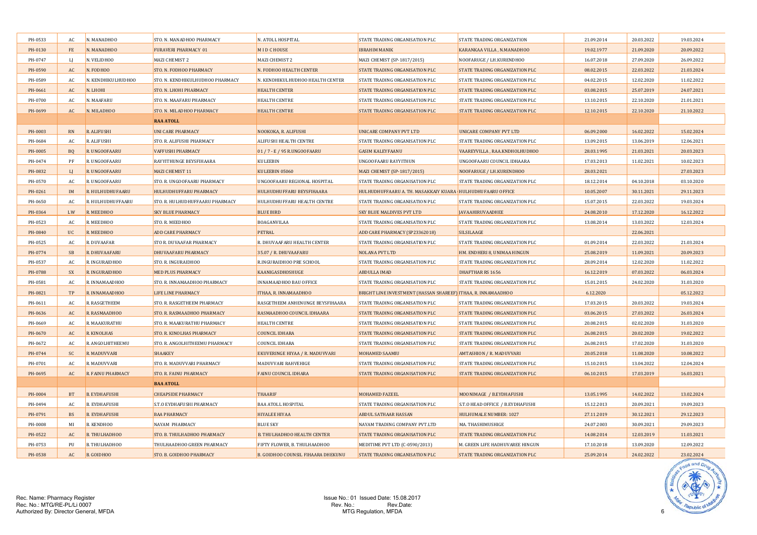| PH-0533 | AC.            | N. MANADHOO          | STO. N. MANADHOO PHARMACY        | N. ATOLL HOSPITAL                         | STATE TRADING ORGANISATION PLC                                | STATE TRADING ORGANIZATION       | 21.09.2014 | 20.03.2022 | 19.03.2024 |
|---------|----------------|----------------------|----------------------------------|-------------------------------------------|---------------------------------------------------------------|----------------------------------|------------|------------|------------|
| PH-0130 | $FE$           | N. MANADHOO          | <b>FURAVERI PHARMACY 01</b>      | <b>MIDCHOUSE</b>                          | <b>IBRAHIM MANIK</b>                                          | KARANKAA VILLA, N.MANADHOO       | 19.02.1977 | 21.09.2020 | 20.09.2022 |
| PH-0747 | LJ             | N. VELIDHOO          | MAZI CHEMIST 2                   | MAZI CHEMIST 2                            | MAZI CHEMIST (SP-1817/2015)                                   | NOOFARUGE / LH.KURENDHOO         | 16.07.2018 | 27.09.2020 | 26.09.2022 |
| PH-0590 | AC             | N. FODHOO            | STO. N. FODHOO PHARMACY          | N. FODHOO HEALTH CENTER                   | STATE TRADING ORGANISATION PLC                                | STATE TRADING ORGANIZATION PLC   | 08.02.2015 | 22.03.2022 | 21.03.2024 |
| PH-0589 | AC             | N. KENDHIKULHUDHOO   | STO. N. KENDHIKULHUDHOO PHARMACY | N. KENDHIKULHUDHOO HEALTH CENTER          | STATE TRADING ORGANISATION PLC                                | STATE TRADING ORGANIZATION PLC   | 04.02.2015 | 12.02.2020 | 11.02.2022 |
| PH-0661 | AC             | N. LHOHI             | <b>STO. N. LHOHI PHARMACY</b>    | <b>HEALTH CENTER</b>                      | <b>STATE TRADING ORGANISATION PLC</b>                         | STATE TRADING ORGANIZATION PLC   | 03.08.2015 | 25.07.2019 | 24.07.2021 |
| PH-0700 | AC             | N. MAAFARU           | STO. N. MAAFARU PHARMACY         | <b>HEALTH CENTRE</b>                      | STATE TRADING ORGANISATION PLC                                | STATE TRADING ORGANIZATION PLC   | 13.10.2015 | 22.10.2020 | 21.01.2021 |
| PH-0699 | AC             | N. MILADHOO          | STO. N. MILADHOO PHARMACY        | <b>HEALTH CENTRE</b>                      | STATE TRADING ORGANISATION PLC                                | STATE TRADING ORGANIZATION PLC   | 12.10.2015 | 22.10.2020 | 21.10.2022 |
|         |                |                      | <b>RAA ATOLL</b>                 |                                           |                                                               |                                  |            |            |            |
| PH-0003 | <b>RN</b>      | R. ALIFUSHI          | <b>UNI CARE PHARMACY</b>         | NOOKOKA, R. ALIFUSHI                      | UNICARE COMPANY PVT LTD                                       | UNICARE COMPANY PVT LTD          | 06.09.2000 | 16.02.2022 | 15.02.2024 |
| PH-0684 | AC             | R. ALIFUSHI          | STO. R. ALIFUSHI PHARMACY        | <b>ALIFUSHI HEALTH CENTRE</b>             | STATE TRADING ORGANISATION PLC                                | STATE TRADING ORGANIZATION PLC   | 13.09.2015 | 13.06.2019 | 12.06.2021 |
| PH-0005 | B <sub>Q</sub> | R. UNGOOFAARU        | <b>VAFFUSHI PHARMACY</b>         | 01 / 7 - E / 95 R.UNGOOFAARU              | <b>GASIM KALEYFAANU</b>                                       | VAAREYVILLA, RAA.KNDHOLHUDHOO    | 28.03.1995 | 21.03.2021 | 20.03.2023 |
| PH-0474 | PF             | R. UNGOOFAARU        | RAYYITHUNGE BEYSFIHAARA          | <b>KULEEBIN</b>                           | UNGOOFAARU RAYYITHUN                                          | UNGOOFAARU COUNCIL IDHAARA       | 17.03.2013 | 11.02.2021 | 10.02.2023 |
| PH-0832 | L              | R. UNGOOFAARU        | MAZI CHEMIST 11                  | KULEEBIN 05060                            | MAZI CHEMIST (SP-1817/2015)                                   | NOOFARUGE / LH.KURENDHOO         | 28.03.2021 |            | 27.03.2023 |
| PH-0570 | AC             | R. UNGOOFAARU        | STO. R. UNGOOFAARU PHARMACY      | UNGOOFAARU REGIONAL HOSPITAL              | STATE TRADING ORGANISATION PLC                                | STATE TRADING ORGANIZATION PLC   | 18.12.2014 | 04.10.2018 | 03.10.2020 |
| PH-0261 | <b>IM</b>      | R. HULHUDHUFAARU     | HULHUDHUFFARU PHARMACY           | HULHUDHUFFARU BEYSFIHAARA                 | HULHUDHUFFAARU A. TH. MASAKKAIY KUARA HULHUDHUFAARU OFFICE    |                                  | 10.05.2007 | 30.11.2021 | 29.11.2023 |
| PH-0650 | AC             | R. HULHUDHUFFAARU    | STO. R. HULHUDHUFFAARU PHARMACY  | HULHUDHUFFARU HEALTH CENTRE               | STATE TRADING ORGANISATION PLC                                | STATE TRADING ORGANIZATION PLC   | 15.07.2015 | 22.03.2022 | 19.03.2024 |
| PH-0364 | LW             | R. MEEDHOO           | <b>SKY BLUE PHARMACY</b>         | <b>BLUE BIRD</b>                          | <b>SKY BLUE MALDIVES PVT LTD</b>                              | <b>IAVAAHIRUVAADHEE</b>          | 24.08.2010 | 17.12.2020 | 16.12.2022 |
| PH-0523 | AC             | R. MEEDHOO           | STO. R. MEEDHOO                  | <b>BOAGANVILAA</b>                        | STATE TRADING ORGANISATION PLC                                | STATE TRADING ORGANIZATION PLC   | 13.08.2014 | 13.03.2022 | 12.03.2024 |
| PH-0840 | <b>UC</b>      | R. MEEDHOO           | <b>ADD CARE PHARMACY</b>         | <b>PETRAL</b>                             | ADD CARE PHARMACY (SP23362018)                                | <b>SILSILAAGE</b>                |            | 22.06.2021 |            |
| PH-0525 | AC             | R. DUVAAFAR          | STO R. DUVAAFAR PHARMACY         | R. DHUVAAFARU HEALTH CENTER               | STATE TRADING ORGANISATION PLC                                | STATE TRADING ORGANIZATION PLC   | 01.09.2014 | 22.03.2022 | 21.03.2024 |
| PH-0774 | <b>SB</b>      | R. DHUVAAFARU        | DHUVAAFARU PHARMACY              | 35.07 / R. DHUVAAFARU                     | <b>NOLANA PVT LTD</b>                                         | HM. ENDHERI 8, UNIMAA HINGUN     | 25.08.2019 | 11.09.2021 | 20.09.2023 |
| PH-0537 | AC             | R. INGURAIDHOO       | STO. R. INGURAIDHOO              | R.INGURAIDHOO PRE SCHOOL                  | STATE TRADING ORGANISATION PLC                                | STATE TRADING ORGANIZATION PLC   | 28.09.2014 | 12.02.2020 | 11.02.2022 |
| PH-0788 | <b>SX</b>      | R. INGURAIDHOO       | <b>MED PLUS PHARMACY</b>         | KAANIGASDHOSHUGE                          | <b>ABDULLA IMAD</b>                                           | <b>DHAFTHAR RS 1656</b>          | 16.12.2019 | 07.03.2022 | 06.03.2024 |
| PH-0581 | AC             | R. INNAMAADHOO       | STO. R. INNAMAADHOO PHARMACY     | <b>INNAMAADHOO BAU OFFICE</b>             | STATE TRADING ORGANISATION PLC                                | STATE TRADING ORGANIZATION PLC   | 15.01.2015 | 24.02.2020 | 31.03.2020 |
| PH-0821 | TP             | R. INNAMAADHOO       | <b>LIFE LINE PHARMACY</b>        | ITHAA, R. INNAMAADHOO                     | BRIGHT LINE INVESTMENT (HASSAN SHAREEF) ITHAA, R. INNAMAADHOO |                                  | 6.12.2020  |            | 05.12.2022 |
| PH-0611 | AC             | R. RASGETHEEM        | STO. R. RASGETHEEM PHARMACY      | RASGETHEEM ANHENUNGE BEYSFIHAARA          | STATE TRADING ORGANISATION PLC                                | STATE TRADING ORGANIZATION PLC   | 17.03.2015 | 20.03.2022 | 19.03.2024 |
| PH-0636 | <b>AC</b>      | R. RASMAADHOO        | STO. R. RASMAADHOO PHARMACY      | RASMAADHOO COUNCIL IDHAARA                | <b>STATE TRADING ORGANISATION PLC</b>                         | STATE TRADING ORGANIZATION PLC   | 03.06.2015 | 27.03.2022 | 26.03.2024 |
| PH-0669 | AC             | R. MAAKURATHU        | STO. R. MAAKURATHU PHARMACY      | <b>HEALTH CENTRE</b>                      | STATE TRADING ORGANISATION PLC                                | STATE TRADING ORGANIZATION PLC   | 20.08.2015 | 02.02.2020 | 31.03.2020 |
| PH-0670 | AC             | R. KINOLHAS          | <b>STO. R. KINOLHAS PHARMACY</b> | <b>COUNCIL IDHARA</b>                     | <b>STATE TRADING ORGANISATION PLC</b>                         | STATE TRADING ORGANIZATION PLC   | 26.08.2015 | 20.02.2020 | 19.02.2022 |
| PH-0672 | AC             | R. ANGOLHITHEEMU     | STO. R. ANGOLHITHEEMU PHARMACY   | <b>COUNCIL IDHARA</b>                     | STATE TRADING ORGANISATION PLC                                | STATE TRADING ORGANIZATION PLC   | 26.08.2015 | 17.02.2020 | 31.03.2020 |
| PH-0744 | <b>SC</b>      | R. MADUVVARI         | <b>SHAAKEY</b>                   | EKUVERINGE HIYAA / R. MADUVVARI           | MOHAMED SAAMIU                                                | <b>AMTASHION / R. MADUVVARI</b>  | 20.05.2018 | 11.08.2020 | 10.08.2022 |
| PH-0701 | AC             | R. MADUVVARI         | STO. R. MADUVVARI PHARMACY       | MADUVVARI RAHVEHIGE                       | STATE TRADING ORGANISATION PLC                                | STATE TRADING ORGANIZATION PLC   | 15.10.2015 | 13.04.2022 | 12.04.2024 |
| PH-0695 | AC             | R. FAINU PHARMACY    | <b>STO. R. FAINU PHARMACY</b>    | <b>FAINU COUNCIL IDHARA</b>               | STATE TRADING ORGANISATION PLC                                | STATE TRADING ORGANIZATION PLC   | 06.10.2015 | 17.03.2019 | 16.03.2021 |
|         |                |                      | <b>BAA ATOLL</b>                 |                                           |                                                               |                                  |            |            |            |
| PH-0004 | <b>BT</b>      | <b>B. EYDHAFUSHI</b> | <b>CHEAPSIDE PHARMACY</b>        | <b>THAARIF</b>                            | <b>MOHAMED FAZEEL</b>                                         | MOONIMAGE / B.EYDHAFUSHI         | 13.05.1995 | 14.02.2022 | 13.02.2024 |
| PH-0494 | AC             | <b>B. EYDHAFUSHI</b> | S.T.O EYDHAFUSHI PHARMACY        | <b>BAA ATOLL HOSPITAL</b>                 | STATE TRADING ORGANISATION PLC                                | S.T.O HEAD OFFICE / B.EYDHAFUSHI | 15.12.2013 | 20.09.2021 | 19.09.2023 |
| PH-0791 | <b>BS</b>      | <b>B. EYDHAFUSHI</b> | <b>BAA PHARMACY</b>              | <b>HIYALEE HIYAA</b>                      | <b>ABDUL SATHAAR HASSAN</b>                                   | HULHUMALE NUMBER: 1027           | 27.11.2019 | 30.12.2021 | 29.12.2023 |
| PH-0008 | MI             | <b>B. KENDHOO</b>    | <b>NAYAM PHARMACY</b>            | <b>BLUE SKY</b>                           | NAYAM TRADING COMPANY PVT.LTD                                 | MA. THASHIMUSHIGE                | 24.07.2003 | 30.09.2021 | 29.09.2023 |
| PH-0522 | AC             | <b>B. THULHADHOO</b> | STO. B. THULHADHOO PHARMACY      | <b>B. THULHADHOO HEALTH CENTER</b>        | STATE TRADING ORGANISATION PLC                                | STATE TRADING ORGANIZATION PLC   | 14.08.2014 | 12.03.2019 | 11.03.2021 |
| PH-0753 | PH             | <b>B. THULHADHOO</b> | THULHAADHOO GREEN PHARMACY       | FIFTY FLOWER, B. THULHAADHOO              | MEDITIME PVT LTD (C-0590/2013)                                | M. GREEN LIFE HADHUVAREE HINGUN  | 17.10.2018 | 13.09.2020 | 12.09.2022 |
| PH-0538 | AC             | <b>B. GOIDHOO</b>    | STO. B. GOIDHOO PHARMACY         | <b>B. GOIDHOO COUNSIL FIHAARA DHEKUNU</b> | STATE TRADING ORGANISATION PLC                                | STATE TRADING ORGANIZATION PLC   | 25.09.2014 | 24.02.2022 | 23.02.2024 |

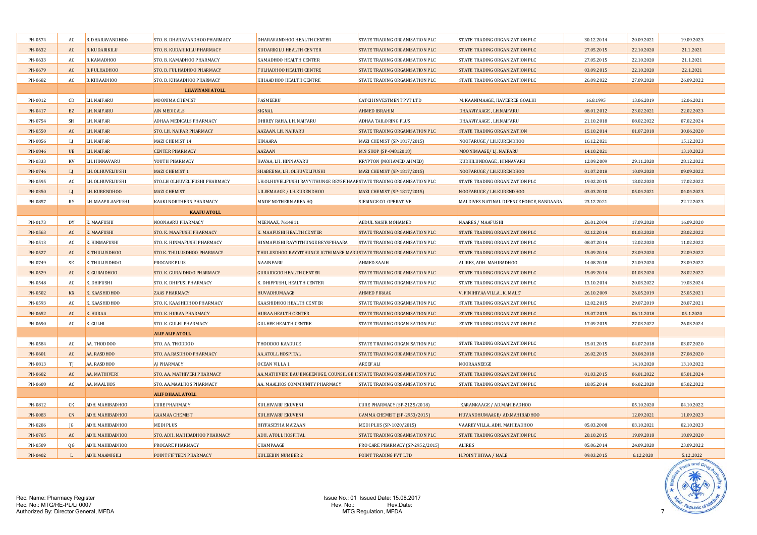| PH-0574 | AC           | B. DHARAVANDHOO      | STO. B. DHARAVANDHOO PHARMACY      | DHARAVANDHOO HEALTH CENTER                                               | STATE TRADING ORGANISATION PLC        | STATE TRADING ORGANIZATION PLC           | 30.12.2014 | 20.09.2021 | 19.09.2023 |
|---------|--------------|----------------------|------------------------------------|--------------------------------------------------------------------------|---------------------------------------|------------------------------------------|------------|------------|------------|
| PH-0632 | AC           | <b>B. KUDARIKILU</b> | <b>STO. B. KUDARIKILU PHARMACY</b> | <b>KUDARIKILU HEALTH CENTER</b>                                          | <b>STATE TRADING ORGANISATION PLC</b> | STATE TRADING ORGANIZATION PLC           | 27.05.2015 | 22.10.2020 | 21.1.2021  |
| PH-0633 | AC           | B. KAMADHOO          | STO. B. KAMADHOO PHARMACY          | KAMADHOO HEALTH CENTER                                                   | STATE TRADING ORGANISATION PLC        | STATE TRADING ORGANIZATION PLC           | 27.05.2015 | 22.10.2020 | 21.1.2021  |
| PH-0679 | AC           | <b>B. FULHADHOO</b>  | STO. B. FULHADHOO PHARMACY         | <b>FULHADHOO HEALTH CENTRE</b>                                           | STATE TRADING ORGANISATION PLC        | STATE TRADING ORGANIZATION PLC           | 03.09.2015 | 22.10.2020 | 22.1.2021  |
| PH-0682 | AC           | B. KIHAADHOO         | STO. B. KIHAADHOO PHARMACY         | KIHAADHOO HEALTH CENTRE                                                  | STATE TRADING ORGANISATION PLC        | STATE TRADING ORGANIZATION PLC           | 26.09.2022 | 27.09.2020 | 26.09.2022 |
|         |              |                      | <b>LHAVIYANI ATOLL</b>             |                                                                          |                                       |                                          |            |            |            |
| PH-0012 | CD           | LH. NAIFARU          | MOONIMA CHEMIST                    | <b>FASMEERU</b>                                                          | <b>CATCH INVESTMENT PVT LTD</b>       | M. KAANIMAAGE, HAVEEREE GOALHI           | 16.8.1995  | 13.06.2019 | 12.06.2021 |
| PH-0417 | <b>BZ</b>    | <b>LH. NAIFARU</b>   | <b>AIN MEDICALS</b>                | SIGNAL                                                                   | <b>AHMED IBRAHIM</b>                  | DHAAVIYAAGE, LH.NAIFARU                  | 08.01.2012 | 23.02.2021 | 22.02.2023 |
| PH-0754 | <b>SH</b>    | LH. NAIFAR           | ADHAA MEDICALS PHARMACY            | DHIREY RAHA, LH. NAIFARU                                                 | ADHAA TAILORING PLUS                  | DHAAVIYAAGE, LH.NAIFARU                  | 21.10.2018 | 08.02.2022 | 07.02.2024 |
| PH-0550 | AC           | LH. NAIFAR           | STO. LH. NAIFAR PHARMACY           | AAZAAN, LH. NAIFARU                                                      | STATE TRADING ORGANISATION PLC        | STATE TRADING ORGANIZATION               | 15.10.2014 | 01.07.2018 | 30.06.2020 |
| PH-0856 | LJ           | LH. NAIFAR           | MAZI CHEMIST 14                    | <b>KINAARA</b>                                                           | MAZI CHEMIST (SP-1817/2015)           | NOOFARUGE / LH.KURENDHOO                 | 16.12.2021 |            | 15.12.2023 |
| PH-0846 | <b>UE</b>    | <b>LH. NAIFAR</b>    | <b>CENTER PHARMACY</b>             | AAZAAN                                                                   | M.N SHOP (SP-04812018)                | MOONIMAAGE/ LJ. NAIFARU                  | 14.10.2021 |            | 13.10.2023 |
| PH-0333 | KV           | LH. HINNAVARU        | YOUTH PHARMACY                     | HAVAA, LH. HINNAVARU                                                     | KRYPTON (MOHAMED AHMED)               | KUDHILUNBOAGE, HINNAVARU                 | 12.09.2009 | 29.11.2020 | 28.12.2022 |
| PH-0746 | L            | LH. OLHUVELIUSHI     | MAZI CHEMIST 1                     | SHABEENA, LH. OLHUVELIFUSHI                                              | MAZI CHEMIST (SP-1817/2015)           | NOOFARUGE / LH.KURENDHOO                 | 01.07.2018 | 10.09.2020 | 09.09.2022 |
| PH-0595 | AC           | LH. OLHUVELIUSHI     | STO.LH OLHUVELIFUSHI PHARMACY      | LH.OLHUVELIFUSHI RAYYITHUNGE BEYSFIHAAF STATE TRADING ORGANISATION PLC   |                                       | STATE TRADING ORGANIZATION PLC           | 19.02.2015 | 18.02.2020 | 17.02.2022 |
| PH-0350 | $\mathbf{L}$ | LH. KURENDHOO        | <b>MAZI CHEMIST</b>                | LILEEMAAGE / LH.KURENDHOO                                                | MAZI CHEMIST (SP-1817/2015)           | NOOFARUGE / LH.KURENDHOO                 | 03.03.2010 | 05.04.2021 | 04.04.2023 |
| PH-0857 | <b>RY</b>    | LH. MAAFILAAFUSHI    | <b>KAAKI NORTHERN PHARMACY</b>     | MNDF NOTHERN AREA HQ                                                     | SIFAINGE CO-OPERATIVE                 | MALDIVES NATINAL DIFENCE FORCE, BANDAARA | 23.12.2021 |            | 22.12.2023 |
|         |              |                      | <b>KAAFU ATOLL</b>                 |                                                                          |                                       |                                          |            |            |            |
| PH-0173 | DY           | K. MAAFUSHI          | <b>NOONAARU PHARMACY</b>           | MEENAAZ, 7614811                                                         | ABDUL NASIR MOHAMED                   | <b>NAARES / MAAFUSHI</b>                 | 26.01.2004 | 17.09.2020 | 16.09.2020 |
| PH-0563 | AC           | K. MAAFUSHI          | STO. K. MAAFUSHI PHARMACY          | K. MAAFUSHI HEALTH CENTER                                                | STATE TRADING ORGANISATION PLC        | STATE TRADING ORGANIZATION PLC           | 02.12.2014 | 01.03.2020 | 28.02.2022 |
| PH-0513 | AC           | K. HINMAFUSHI        | STO. K. HINMAFUSHI PHARMACY        | HINMAFUSHI RAYYITHUNGE BEYSFIHAARA                                       | STATE TRADING ORGANISATION PLC        | STATE TRADING ORGANIZATION PLC           | 08.07.2014 | 12.02.2020 | 11.02.2022 |
| PH-0527 | AC           | K. THULUSDHOO        | <b>STO K. THULUSDHOO PHARMACY</b>  | THULUSDHOO RAYYITHUNGE IGTHIMAEE MARUSTATE TRADING ORGANISATION PLC      |                                       | STATE TRADING ORGANIZATION PLC           | 15.09.2014 | 23.09.2020 | 22.09.2022 |
| PH-0749 | <b>SE</b>    | K. THULUSDHOO        | <b>PROCARE PLUS</b>                | <b>NAAINFARU</b>                                                         | <b>AHMED SAAIH</b>                    | ALIRES, ADH. MAHIBADHOO                  | 14.08.2018 | 24.09.2020 | 23.09.2022 |
| PH-0529 | AC           | K. GURAIDHOO         | STO. K. GURAIDHOO PHARMACY         | <b>GURAIDGOO HEALTH CENTER</b>                                           | STATE TRADING ORGANISATION PLC        | STATE TRADING ORGANIZATION PLC           | 15.09.2014 | 01.03.2020 | 28.02.2022 |
| PH-0548 | AC           | K. DHIFUSHI          | STO. K. DHIFUSI PHARMACY           | K. DHIFFUSHI, HEALTH CENTER                                              | STATE TRADING ORGANISATION PLC        | STATE TRADING ORGANIZATION PLC           | 13.10.2014 | 20.03.2022 | 19.03.2024 |
| PH-0502 | KX           | K. KAASHIDHOO        | <b>ZAAS PHARMACY</b>               | HUVADHUMAAGE                                                             | <b>AHMED FIRAAG</b>                   | V. FINIHIYAA VILLA, K. MALE'             | 26.10.2009 | 26.05.2019 | 25.05.2021 |
| PH-0593 | AC           | K. KAASHIDHOO        | STO. K. KAASHIDHOO PHARMACY        | KAASHIDHOO HEALTH CENTER                                                 | STATE TRADING ORGANISATION PLC        | STATE TRADING ORGANIZATION PLC           | 12.02.2015 | 29.07.2019 | 28.07.2021 |
| PH-0652 | AC           | K. HURAA             | STO. K. HURAA PHARMACY             | HURAA HEALTH CENTER                                                      | STATE TRADING ORGANISATION PLC        | STATE TRADING ORGANIZATION PLC           | 15.07.2015 | 06.11.2018 | 05.1.2020  |
| PH-0690 | AC           | K. GULHI             | STO. K. GULHI PHARMACY             | <b>GULHEE HEALTH CENTRE</b>                                              | STATE TRADING ORGANISATION PLC        | STATE TRADING ORGANIZATION PLC           | 17.09.2015 | 27.03.2022 | 26.03.2024 |
|         |              |                      | <b>ALIF ALIF ATOLL</b>             |                                                                          |                                       |                                          |            |            |            |
| PH-0584 | AC           | AA. THODDOO          | STO. AA. THODDOO                   | <b>THODDOO KAADUGE</b>                                                   | STATE TRADING ORGANISATION PLC        | STATE TRADING ORGANIZATION PLC           | 15.01.2015 | 04.07.2018 | 03.07.2020 |
| PH-0601 | AC           | AA. RASDHOO          | STO. AA.RASDHOO PHARMACY           | <b>AA.ATOLL HOSPITAL</b>                                                 | STATE TRADING ORGANISATION PLC        | STATE TRADING ORGANIZATION PLC           | 26.02.2015 | 28.08.2018 | 27.08.2020 |
| PH-0813 | T            | AA. RASDHOO          | AJ PHARMACY                        | OCEAN VILLA 1                                                            | <b>AREEF ALI</b>                      | NOORAANEEGE                              |            | 14.10.2020 | 13.10.2022 |
| PH-0602 | AC           | AA. MATHIVERI        | STO. AA. MATHIVERI PHARMACY        | AA.MATHIVERI BAU ENGEENUGE, COUNSIL GE II STATE TRADING ORGANISATION PLC |                                       | STATE TRADING ORGANIZATION PLC           | 01.03.2015 | 06.01.2022 | 05.01.2024 |
| PH-0608 | AC           | AA. MAALHOS          | STO. AA.MAALHOS PHARMACY           | AA. MAALHOS COMMIUNITY PHARMACY                                          | STATE TRADING ORGANISATION PLC        | STATE TRADING ORGANIZATION PLC           | 18.05.2014 | 06.02.2020 | 05.02.2022 |
|         |              |                      | <b>ALIF DHAAL ATOLL</b>            |                                                                          |                                       |                                          |            |            |            |
| PH-0812 | СK           | ADH. MAHIBADHOO      | <b>CURE PHARMACY</b>               | KULHIVARU EKUVENI                                                        | <b>CURE PHARMACY (SP-2125/2018)</b>   | KARANKAAGE / AD.MAHIBADHOO               |            | 05.10.2020 | 04.10.2022 |
| PH-0083 | CN           | ADH. MAHIBADHOO      | <b>GAAMAA CHEMIST</b>              | KULHIVARU EKUVENI                                                        | GAMMA CHEMIST (SP-2953/2015)          | HUVANDHUMAAGE/ AD.MAHIBADHOO             |            | 12.09.2021 | 11.09.2023 |
| PH-0286 | JG           | ADH. MAHIBADHOO      | <b>MEDI PLUS</b>                   | HIYFASEYHA MAIZAAN                                                       | MEDI PLUS (SP-1020/2015)              | VAAREY VILLA, ADH. MAHIBADHOO            | 05.03.2008 | 03.10.2021 | 02.10.2023 |
| PH-0705 | AC           | ADH. MAHIBADHOO      | STO. ADH. MAHIBADHOO PHARMACY      | ADH. ATOLL HOSPITAL                                                      | STATE TRADING ORGANISATION PLC        | STATE TRADING ORGANIZATION PLC           | 20.10.2015 | 19.09.2018 | 18.09.2020 |
| PH-0509 | QG           | ADH. MAHIBADHOO      | PROCARE PHARMACY                   | CHAMPAAGE                                                                | PRO CARE PHARMACY (SP-2952/2015)      | <b>ALIRES</b>                            | 05.06.2014 | 24.09.2020 | 23.09.2022 |
| PH-0402 | L            | ADH. MAAMIGILI       | POINT FIFTEEN PHARMACY             | <b>KULEEBIN NUMBER 2</b>                                                 | POINT TRADING PVT LTD                 | H.POINT HIYAA / MALE                     | 09.03.2015 | 6.12.2020  | 5.12.2022  |

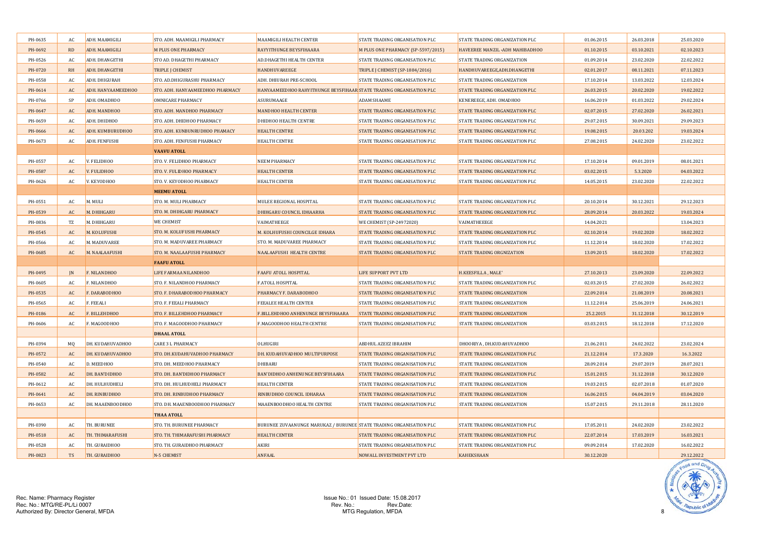| PH-0635 | AC.       | ADH. MAAMIGILI     | STO. ADH. MAAMIGILI PHARMACY     | MAAMIGILI HEALTH CENTER                                             | STATE TRADING ORGANISATION PLC     | STATE TRADING ORGANIZATION PLC    | 01.06.2015 | 26.03.2018 | 25.03.2020 |
|---------|-----------|--------------------|----------------------------------|---------------------------------------------------------------------|------------------------------------|-----------------------------------|------------|------------|------------|
| PH-0692 | <b>RD</b> | ADH. MAAMIGILI     | <b>M PLUS ONE PHARMACY</b>       | <b>RAYYITHUNGE BEYSFIHAARA</b>                                      | M PLUS ONE PHARMACY (SP-5597/2015) | HAVEEREE MANZIL .ADH MAHIBADHOO   | 01.10.2015 | 03.10.2021 | 02.10.2023 |
| PH-0526 | AC        | ADH. DHANGETHI     | STO AD. DHAGETHI PHARMACY        | AD.DHAGETHI HEALTH CENTER                                           | STATE TRADING ORGANISATION PLC     | STATE TRADING ORGANIZATION        | 01.09.2014 | 23.02.2020 | 22.02.2022 |
| PH-0720 | RH        | ADH. DHANGETHI     | TRIPLE J CHEMIST                 | <b>HANDHUVAREEGE</b>                                                | TRIPLE J CHEMIST (SP-1884/2016)    | HANDHUVAREEGE, ADH.DHANGETHI      | 02.01.2017 | 08.11.2021 | 07.11.2023 |
| PH-0558 | AC        | ADH. DHIGURAH      | STO. AD.DHIGURASHU PHARMACY      | ADH. DHIURAH PRE-SCHOOL                                             | STATE TRADING ORGANISATION PLC     | STATE TRADING ORGANIZATION        | 17.10.2014 | 13.03.2022 | 12.03.2024 |
| PH-0614 | <b>AC</b> | ADH. HANYAAMEEDHOO | STO. ADH. HANYAAMEEDHOO PHARMACY | HANYAAMEEDHOO RAHYITHUNGE BEYSFIHAAR STATE TRADING ORGANISATION PLC |                                    | STATE TRADING ORGANIZATION PLC    | 26.03.2015 | 20.02.2020 | 19.02.2022 |
| PH-0766 | SP        | ADH. OMADHOO       | OMNICARE PHARMACY                | ASURUMAAGE                                                          | <b>ADAM SHAAME</b>                 | KENEREEGE, ADH. OMADHOO           | 16.06.2019 | 01.03.2022 | 29.02.2024 |
| PH-0647 | AC        | ADH. MANDHOO       | STO. ADH. MANDHOO PHARMACY       | <b>MANDHOO HEALTH CENTER</b>                                        | STATE TRADING ORGANISATION PLC     | STATE TRADING ORGANIZATION PLC    | 02.07.2015 | 27.02.2020 | 26.02.2021 |
| PH-0659 | AC        | ADH. DHIDHOO       | STO. ADH. DHIDHOO PHARMACY       | DHIDHOO HEALTH CENTRE                                               | STATE TRADING ORGANISATION PLC     | STATE TRADING ORGANIZATION PLC    | 29.07.2015 | 30.09.2021 | 29.09.2023 |
| PH-0666 | AC        | ADH. KUMBURUDHOO   | STO. ADH. KUNBUNRUDHOO PHAMACY   | <b>HEALTH CENTRE</b>                                                | STATE TRADING ORGANISATION PLC     | STATE TRADING ORGANIZATION PLC    | 19.08.2015 | 20.03.202  | 19.03.2024 |
| PH-0673 | AC        | ADH. FENFUSHI      | STO. ADH. FENFUSHI PHARMACY      | <b>HEALTH CENTRE</b>                                                | STATE TRADING ORGANISATION PLC     | STATE TRADING ORGANIZATION PLC    | 27.08.2015 | 24.02.2020 | 23.02.2022 |
|         |           |                    | <b>VAAVU ATOLL</b>               |                                                                     |                                    |                                   |            |            |            |
| PH-0557 | AC        | V. FELIDHOO        | STO. V. FELIDHOO PHARMACY        | NEEM PHARMACY                                                       | STATE TRADING ORGANISATION PLC     | STATE TRADING ORGANIZATION PLC    | 17.10.2014 | 09.01.2019 | 08.01.2021 |
| PH-0587 | AC        | V. FULIDHOO        | <b>STO. V. FULIDHOO PHARMACY</b> | <b>HEALTH CENTER</b>                                                | STATE TRADING ORGANISATION PLC     | STATE TRADING ORGANIZATION PLC    | 03.02.2015 | 5.3.2020   | 04.03.2022 |
| PH-0626 | AC        | V. KEYODHOO        | STO. V. KEYODHOO PHARMACY        | <b>HEALTH CENTER</b>                                                | STATE TRADING ORGANISATION PLC     | STATE TRADING ORGANIZATION PLC    | 14.05.2015 | 23.02.2020 | 22.02.2022 |
|         |           |                    | <b>MEEMU ATOLL</b>               |                                                                     |                                    |                                   |            |            |            |
| PH-0551 | AC        | M. MULI            | STO. M. MULI PHARMACY            | MULEE REGIONAL HOSPITAL                                             | STATE TRADING ORGANISATION PLC     | STATE TRADING ORGANIZATION PLC    | 20.10.2014 | 30.12.2021 | 29.12.2023 |
| PH-0539 | AC        | M. DHIHGARU        | STO. M. DHIHGARU PHARMACY        | DHIHGARU COUNCIL IDHAARHA                                           | STATE TRADING ORGANISATION PLC     | STATE TRADING ORGANIZATION PLC    | 28.09.2014 | 20.03.2022 | 19.03.2024 |
| PH-0836 | TZ        | M. DHIHGARU        | <b>WE CHEMIST</b>                | VAIMATHEEGE                                                         | WE CHEMIST (SP-24972020)           | VAIMATHEEEGE                      | 14.04.2021 |            | 13.04.2023 |
| PH-0545 | AC        | M. KOLUFUSHI       | STO. M. KOLUFUSHI PHARMACY       | M. KOLHUFUSHI COUNCILGE IDHARA                                      | STATE TRADING ORGANISATION PLC     | STATE TRADING ORGANIZATION PLC    | 02.10.2014 | 19.02.2020 | 18.02.2022 |
| PH-0566 | AC        | M. MADUVAREE       | STO. M. MADUVAREE PHARMACY       | STO. M. MADUVAREE PHARMACY                                          | STATE TRADING ORGANISATION PLC     | STATE TRADING ORGANIZATION PLC    | 11.12.2014 | 18.02.2020 | 17.02.2022 |
| PH-0685 | AC        | M. NAALAAFUSHI     | STO. M. NAALAAFUSHI PHARMACY     | NAALAAFUSHI HEALTH CENTRE                                           | STATE TRADING ORGANISATION PLC     | STATE TRADING ORGNIZATION         | 13.09.2015 | 18.02.2020 | 17.02.2022 |
|         |           |                    | <b>FAAFU ATOLL</b>               |                                                                     |                                    |                                   |            |            |            |
| PH-0495 | IN        | F. NILANDHOO       | LIFE FARMAA NILANDHOO            | <b>FAAFU ATOLL HOSPITAL</b>                                         | LIFE SUPPORT PVT LTD               | H.KEESFILLA, MALE'                | 27.10.2013 | 23.09.2020 | 22.09.2022 |
| PH-0605 | AC        | F. NILANDHOO       | STO. F. NILANDHOO PHARMACY       | <b>F.ATOLL HOSPITAL</b>                                             | STATE TRADING ORGANISATION PLC     | STATE TRADING ORGANIZATION PLC    | 02.03.2015 | 27.02.2020 | 26.02.2022 |
| PH-0535 | AC        | F. DARABODHOO      | STO. F. DHARABODHOO PHARMACY     | PHARMACY F. DARABODHOO                                              | STATE TRADING ORGANISATION PLC     | <b>STATE TRADING ORGANIZATION</b> | 22.09.2014 | 21.08.2019 | 20.08.2021 |
| PH-0565 | AC        | F. FEEALI          | STO. F. FEEALI PHARMACY          | <b>FEEALEE HEALTH CENTER</b>                                        | STATE TRADING ORGANISATION PLC     | STATE TRADING ORGANIZATION        | 11.12.2014 | 25.06.2019 | 24.06.2021 |
| PH-0186 | AC        | F. BILLEHDHOO      | STO. F. BILLEHDHOO PHARMACY      | F.BILLEHDHOO ANHENUNGE BEYSFIHAARA                                  | STATE TRADING ORGANISATION PLC     | STATE TRADING ORGANIZATION        | 25.2.2015  | 31.12.2018 | 30.12.2019 |
| PH-0606 | AC        | F. MAGOODHOO       | STO. F. MAGOODHOO PHARMACY       | F.MAGOODHOO HEALTH CENTRE                                           | STATE TRADING ORGANISATION PLC     | <b>STATE TRADING ORGANIZATION</b> | 03.03.2015 | 18.12.2018 | 17.12.2020 |
|         |           |                    | <b>DHAAL ATOLL</b>               |                                                                     |                                    |                                   |            |            |            |
| PH-0394 | MQ        | DH. KUDAHUVADHOO   | <b>CARE 3 L PHARMACY</b>         | OLHUGIRI                                                            | ABDHUL AZEEZ IBRAHIM               | DHOORIYA, DH.KUDAHUVADHOO         | 21.06.2011 | 24.02.2022 | 23.02.2024 |
| PH-0572 | AC        | DH. KUDAHUVADHOO   | STO. DH.KUDAHUVADHOO PHARMACY    | DH. KUDAHUVADHOO MULTIPURPOSE                                       | STATE TRADING ORGANISATION PLC     | STATE TRADING ORGANIZATION PLC    | 21.12.2014 | 17.3.2020  | 16.3.2022  |
| PH-0540 | AC        | D. MEEDHOO         | STO. DH. MEEDHOO PHARMACY        | DHIBARU                                                             | STATE TRADING ORGANISATION PLC     | STATE TRADING ORGANIZATION        | 28.09.2014 | 29.07.2019 | 28.07.2021 |
| PH-0582 | AC        | DH. BAN'DIDHOO     | STO. DH. BAN'DIDHOO PHARMACY     | <b>BAN'DIDHOO ANHENUNGE BEYSFIHAARA</b>                             | STATE TRADING ORGANISATION PLC     | STATE TRADING ORGANIZATION PLC    | 15.01.2015 | 31.12.2018 | 30.12.2020 |
| PH-0612 | AC        | DH. HULHUDHELI     | STO. DH. HULHUDHELI PHARMACY     | <b>HEALTH CENTER</b>                                                | STATE TRADING ORGANISATION PLC     | STATE TRADING ORGANIZATION        | 19.03.2015 | 02.07.2018 | 01.07.2020 |
| PH-0641 | AC        | DH. RINBUDHOO      | STO. DH. RINBUDHOO PHARMACY      | RINBUDHOO COUNCIL IDHARAA                                           | STATE TRADING ORGANISATION PLC     | <b>STATE TRADING ORGANIZATION</b> | 16.06.2015 | 04.04.2019 | 03.04.2020 |
| PH-0653 | AC        | DH. MAAENBOODHOO   | STO. DH. MAAENBOODHOO PHARMACY   | MAAENBOODHOO HEALTH CENTRE                                          | STATE TRADING ORGANISATION PLC     | STATE TRADING ORGANIZATION        | 15.07.2015 | 29.11.2018 | 28.11.2020 |
|         |           |                    | <b>THAA ATOLL</b>                |                                                                     |                                    |                                   |            |            |            |
| PH-0390 | AC        | TH. BURUNEE        | STO. TH. BURUNEE PHARMACY        | BURUNEE ZUVAANUNGE MARUKAZ / BURUNEE STATE TRADING ORGANISATION PLC |                                    | STATE TRADING ORGANIZATION PLC    | 17.05.2011 | 24.02.2020 | 23.02.2022 |
| PH-0518 | AC        | TH. THIMARAFUSHI   | STO. TH. THIMARAFUSHI PHARMACY   | <b>HEALTH CENTER</b>                                                | STATE TRADING ORGANISATION PLC     | STATE TRADING ORGANIZATION PLC    | 22.07.2014 | 17.03.2019 | 16.03.2021 |
| PH-0528 | AC        | TH. GURAIDHOO      | STO. TH. GURAIDHOO PHARMACY      | AKIRI                                                               | STATE TRADING ORGANISATION PLC     | STATE TRADING ORGANIZATION PLC    | 09.09.2014 | 17.02.2020 | 16.02.2022 |
| PH-0823 | <b>TS</b> | TH. GURAIDHOO      | N-5 CHEMIST                      | <b>ANFAAL</b>                                                       | NOWALL INVESTMENT PVT LTD          | <b>KAHEKSHAAN</b>                 | 30.12.2020 |            | 29.12.2022 |
|         |           |                    |                                  |                                                                     |                                    |                                   |            |            |            |

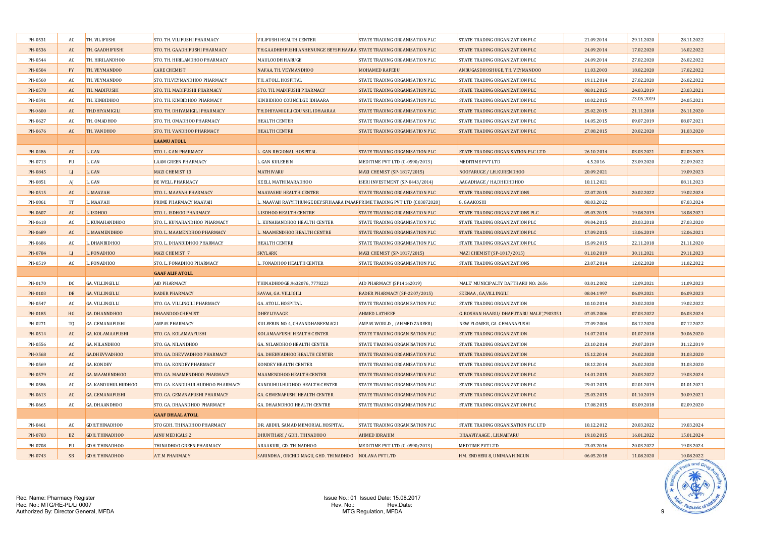| PH-0531 | AC.              | TH. VILIFUSHI           | STO. TH. VILIFUSHI PHARMACY      | VILIFUSHI HEALTH CENTER                                                   | STATE TRADING ORGANISATION PLC  | STATE TRADING ORGANIZATION PLC           | 21.09.2014 | 29.11.2020 | 28.11.2022 |
|---------|------------------|-------------------------|----------------------------------|---------------------------------------------------------------------------|---------------------------------|------------------------------------------|------------|------------|------------|
| PH-0536 | AC               | TH. GAADHIFUSHI         | STO. TH. GAADHIFUSHI PHARMACY    | TH.GAADHIHFUSHI ANHENUNGE BEYSFIHAARA STATE TRADING ORGANISATION PLC      |                                 | STATE TRADING ORGANIZATION PLC           | 24.09.2014 | 17.02.2020 | 16.02.2022 |
| PH-0544 | AC               | TH. HIRILANDHOO         | STO. TH. HIRILANDHOO PHARMACY    | <b>MAULOODH HARUGE</b>                                                    | STATE TRADING ORGANISATION PLC  | STATE TRADING ORGANIZATION PLC           | 24.09.2014 | 27.02.2020 | 26.02.2022 |
| PH-0504 | PY               | TH. VEYMANDOO           | <b>CARE CHEMIST</b>              | NAFAA, TH. VEYMANDHOO                                                     | <b>MOHAMED RAFEEU</b>           | ANBUGASDHOSHUGE, TH. VEYMANDOO           | 11.03.2003 | 18.02.2020 | 17.02.2022 |
| PH-0560 | AC               | TH. VEYMANDOO           | STO. TH.VEYMANDHOO PHARMACY      | TH. ATOLL HOSPITAL                                                        | STATE TRADING ORGANISATION PLC  | STATE TRADING ORGANIZATION PLC           | 19.11.2014 | 27.02.2020 | 26.02.2022 |
| PH-0578 | AC               | TH. MADIFUSHI           | STO. TH. MADIFUSHI PHARMACY      | STO. TH. MADIFUSHI PHARMACY                                               | STATE TRADING ORGANISATION PLC  | STATE TRADING ORGANIZATION PLC           | 08.01.2015 | 24.03.2019 | 23.03.2021 |
| PH-0591 | AC               | TH. KINBIDHOO           | STO. TH. KINBIDHOO PHARMACY      | KINBIDHOO COUNCILGE IDHAARA                                               | STATE TRADING ORGANISATION PLC  | STATE TRADING ORGANIZATION PLC           | 10.02.2015 | 23.05.2019 | 24.05.2021 |
| PH-0600 | AC               | TH.DHIYAMIGILI          | STO. TH. DHIYAMIGILI PHARMACY    | TH.DHIYAMIGILI COUNSIL IDHAARAA                                           | STATE TRADING ORGANISATION PLC  | STATE TRADING ORGANIZATION PLC           | 25.02.2015 | 21.11.2018 | 26.11.2020 |
| PH-0627 | AC               | TH. OMADHOO             | STO. TH. OMADHOO PHARMACY        | <b>HEALTH CENTER</b>                                                      | STATE TRADING ORGANISATION PLC  | STATE TRADING ORGANIZATION PLC           | 14.05.2015 | 09.07.2019 | 08.07.2021 |
| PH-0676 | AC               | TH. VANDHOO             | STO. TH. VANDHOO PHARMACY        | <b>HEALTH CENTRE</b>                                                      | STATE TRADING ORGANISATION PLC  | STATE TRADING ORGANIZATION PLC           | 27.08.2015 | 20.02.2020 | 31.03.2020 |
|         |                  |                         | <b>LAAMU ATOLL</b>               |                                                                           |                                 |                                          |            |            |            |
| PH-0486 | AC               | L. GAN                  | STO. L. GAN PHARMACY             | L. GAN REGIONAL HOSPITAL                                                  | STATE TRADING ORGANISATION PLC  | STATE TRADING ORGANISATION PLC LTD       | 26.10.2014 | 03.03.2021 | 02.03.2023 |
| PH-0713 | PU               | L. GAN                  | <b>LAAM GREEN PHARMACY</b>       | <b>L.GAN KULEEBIN</b>                                                     | MEDITIME PVT LTD (C-0590/2013)  | MEDITIME PVT LTD                         | 4.5.2016   | 23.09.2020 | 22.09.2022 |
| PH-0845 | LI               | L. GAN                  | <b>MAZI CHEMIST 13</b>           | <b>MATHIVARU</b>                                                          | MAZI CHEMIST (SP-1817/2015)     | NOOFARUGE / LH.KURENDHOO                 | 20.09.2021 |            | 19.09.2023 |
| PH-0851 | AI               | L. GAN                  | <b>BE WELL PHARMACY</b>          | KEELI, MATHIMARADHOO                                                      | ISERI INVESTMENT (SP-0443/2014) | AAGADHAGE / HA,DHIDHDHOO                 | 10.11.2021 |            | 08.11.2023 |
| PH-0515 | AC               | L. MAAVAH               | STO. L. MAAVAH PHARMACY          | <b>MAAVASHU HEALTH CENTER</b>                                             | STATE TRADING ORGANISATION PLC  | STATE TRADING ORGANIZATIONS              | 22.07.2015 | 20.02.2022 | 19.02.2024 |
| PH-0861 | <b>TT</b>        | L. MAAVAH               | PRIME PHARMACY MAAVAH            | L. MAAVAH RAYYITHUNGE BEYSFIHAARA IMAAF PRIME TRADING PVT LTD (C03872020) |                                 | G, GAAKOSHI                              | 08.03.2022 |            | 07.03.2024 |
| PH-0607 | AC               | L. ISDHOO               | STO. L. ISDHOO PHARMACY          | <b>LISDHOO HEALTH CENTRE</b>                                              | STATE TRADING ORGANISATION PLC  | STATE TRADING ORGANIZATIONS PLC          | 05.03.2015 | 19.08.2019 | 18.08.2021 |
| PH-0618 | AC               | L. KUNAHANDHOO          | STO. L. KUNAHANDHOO PHARMACY     | L. KUNAHANDHOO HEALTH CENTER                                              | STATE TRADING ORGANISATION PLC  | STATE TRADING ORGANIZATION PLC           | 09.04.2015 | 28.03.2018 | 27.03.2020 |
| PH-0689 | AC               | L. MAAMENDHOO           | STO. L. MAAMENDHOO PHARMACY      | L. MAAMENDHOO HEALTH CENTRE                                               | STATE TRADING ORGANISATION PLC  | STATE TRADING ORGANIZATION PLC           | 17.09.2015 | 13.06.2019 | 12.06.2021 |
| PH-0686 | AC               | L. DHANBIDHOO           | STO. L. DHANBIDHOO PHARMACY      | <b>HEALTH CENTRE</b>                                                      | STATE TRADING ORGANISATION PLC  | STATE TRADING ORGANIZATION PLC           | 15.09.2015 | 22.11.2018 | 21.11.2020 |
| PH-0784 | LI               | L. FONADHOO             | MAZI CHEMIST 7                   | <b>SKYLARK</b>                                                            | MAZI CHEMIST (SP-1817/2015)     | MAZI CHEMIST (SP-1817/2015)              | 01.10.2019 | 30.11.2021 | 29.11.2023 |
| PH-0519 | AC               | L. FONADHOO             | STO. L. FONADHOO PHARMACY        | L. FONADHOO HEALTH CENTER                                                 | STATE TRADING ORGANISATION PLC  | STATE TRADING ORGANIZATIONS              | 23.07.2014 | 12.02.2020 | 11.02.2022 |
|         |                  |                         | <b>GAAF ALIF ATOLL</b>           |                                                                           |                                 |                                          |            |            |            |
| PH-0170 | DC.              | <b>GA. VILLINGILLI</b>  | <b>AID PHARMACY</b>              | THINADHOOGE, 9632076, 7778223                                             | AID PHARMACY (SP14162019)       | MALE' MUNICIPALTY DAFTHARU NO: 2656      | 03.01.2002 | 12.09.2021 | 11.09.2023 |
| PH-0103 | DE               | <b>GA. VILLINGILLI</b>  | <b>RADER PHARMACY</b>            | SAVAA, GA. VILLIGILI                                                      | RADER PHARMACY (SP-2207/2015)   | SEENAA, GA, VILLINGILI                   | 08.04.1997 | 06.09.2021 | 06.09.2023 |
| PH-0547 | AC               | GA. VILLINGILLI         | STO. GA. VILLINGILI PHARMACY     | GA. ATOLL HOSPITAL                                                        | STATE TRADING ORGANISATION PLC  | STATE TRADING ORGANIZATION               | 10.10.2014 | 20.02.2020 | 19.02.2022 |
| PH-0185 | HG               | GA. DHANNDHOO           | <b>DHAANDOO CHEMIST</b>          | <b>DHEYLIYAAGE</b>                                                        | <b>AHMED LATHEEF</b>            | G. ROSHAN HAARU/ DHAFUTARU MALE',7903351 | 07.05.2006 | 07.03.2022 | 06.03.2024 |
| PH-0271 | T <sub>0</sub>   | <b>GA. GEMANAFUSHI</b>  | <b>AMPAS PHARMACY</b>            | KULEEBIN NO 4, CHAANDHANEEMAGU                                            | AMPAS WORLD, (AHMED ZAREER)     | NEW FLOWER, GA. GEMANAFUSHI              | 27.09.2004 | 08.12.2020 | 07.12.2022 |
| PH-0514 | AC               | <b>GA. KOLAMAAFUSHI</b> | STO. GA. KOLAMAAFUSHI            | KOLAMAAFUSHI HEALTH CENTER                                                | STATE TRADING ORGANISATION PLC  | <b>STATE TRADING ORGANIZATION</b>        | 14.07.2014 | 01.07.2018 | 30.06.2020 |
| PH-0556 | AC               | <b>GA. NILANDHOO</b>    | STO. GA. NILANDHOO               | <b>GA. NILANDHOO HEALTH CENTER</b>                                        | STATE TRADING ORGANISATION PLC  | STATE TRADING ORGANIZATION               | 23.10.2014 | 29.07.2019 | 31.12.2019 |
| PH-0568 | AC               | GA.DHEVVADHOO           | STO. GA. DHEVVADHOO PHARMACY     | GA. DHEHVADHOO HEALTH CENTER                                              | STATE TRADING ORGANISATION PLC  | STATE TRADING ORGANIZATION               | 15.12.2014 | 24.02.2020 | 31.03.2020 |
| PH-0569 | AC               | <b>GA. KONDEY</b>       | STO. GA. KONDEY PHARMACY         | <b>KONDEY HEALTH CENTER</b>                                               | STATE TRADING ORGANISATION PLC  | STATE TRADING ORGANIZATION PLC           | 18.12.2014 | 26.02.2020 | 31.03.2020 |
| PH-0579 | AC               | <b>GA. MAAMENDHOO</b>   | STO. GA. MAAMENDHOO PHARMACY     | <b>MAAMENDHOO HEALTH CENTER</b>                                           | STATE TRADING ORGANISATION PLC  | STATE TRADING ORGANIZATION PLC           | 14.01.2015 | 20.03.2022 | 19.03.2024 |
| PH-0586 | AC               | GA. KANDUHULHUDHOO      | STO. GA. KANDUHULHUDHOO PHARMACY | KANDUHULHUDHOO HEALTH CENTER                                              | STATE TRADING ORGANISATION PLC  | STATE TRADING ORGANIZATION PLC           | 29.01.2015 | 02.01.2019 | 01.01.2021 |
| PH-0613 | AC               | GA. GEMANAFUSHI         | STO. GA. GEMANAFUSHI PHARMACY    | <b>GA. GEMENAFUSHI HEALTH CENTER</b>                                      | STATE TRADING ORGANISATION PLC  | STATE TRADING ORGANIZATION PLC           | 25.03.2015 | 01.10.2019 | 30.09.2021 |
| PH-0665 | AC               | GA. DHAANDHOO           | STO. GA. DHAANDHOO PHARMACY      | GA. DHAANDHOO HEALTH CENTRE                                               | STATE TRADING ORGANISATION PLC  | STATE TRADING ORGANIZATION PLC           | 17.08.2015 | 03.09.2018 | 02.09.2020 |
|         |                  |                         | <b>GAAF DHAAL ATOLL</b>          |                                                                           |                                 |                                          |            |            |            |
| PH-0461 | AC               | GDH.THINADHOO           | STO GDH. THINADHOO PHARMACY      | DR. ABDUL SAMAD MEMORIAL HOSPITAL                                         | STATE TRADING ORGANISATION PLC  | STATE TRADING ORGANISATION PLC LTD       | 10.12.2012 | 20.03.2022 | 19.03.2024 |
| PH-0703 | <b>BZ</b>        | GDH. THINADHOO          | <b>AINU MEDICALS 2</b>           | DHUNTHARI / GDH. THINADHOO                                                | <b>AHMED IBRAHIM</b>            | DHAAVIYAAGE, LH.NAIFARU                  | 19.10.2015 | 16.01.2022 | 15.01.2024 |
| PH-0708 | PH               | GDH. THINADHOO          | THINADHOO GREEN PHARMACY         | ARAAKURI, GD. THINADHOO                                                   | MEDITIME PVT LTD (C-0590/2013)  | <b>MEDTIME PVT LTD</b>                   | 23.03.2016 | 20.03.2022 | 19.03.2024 |
| PH-0743 | $S$ <sub>R</sub> | GDH. THINADHOO          | A.T.M PHARMACY                   | SARINDHA, ORCHID MAGU, GHD. THINADHOO NOLANA PVT LTD                      |                                 | HM. ENDHERI 8, UNIMAA HINGUN             | 06.05.2018 | 11.08.2020 | 10.08.2022 |

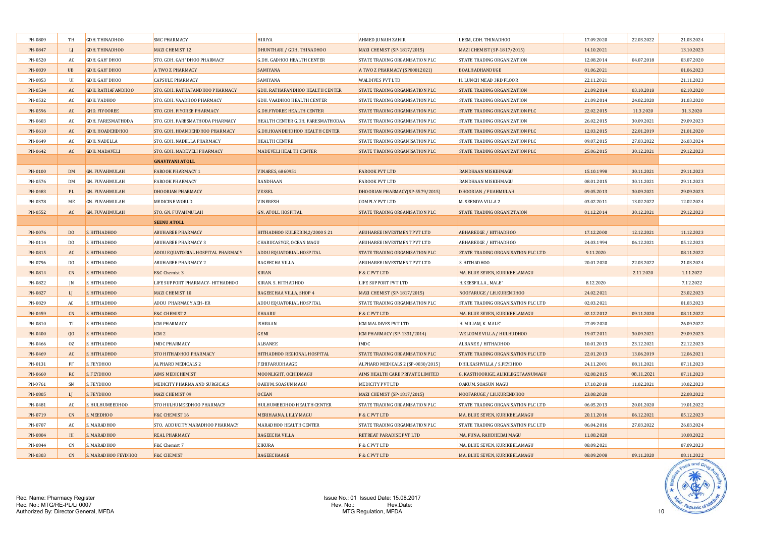| PH-0809 | TH             | GDH. THINADHOO        | <b>SMC PHARMACY</b>               | <b>HIRIYA</b>                         | AHMED JUNAIH ZAHIR                 | LEEM, GDH. THINADHOO               | 17.09.2020 | 22.03.2022 | 21.03.2024 |
|---------|----------------|-----------------------|-----------------------------------|---------------------------------------|------------------------------------|------------------------------------|------------|------------|------------|
| PH-0847 | L              | GDH. THINADHOO        | <b>MAZI CHEMIST 12</b>            | DHUNTHARI / GDH. THINADHOO            | MAZI CHEMIST (SP-1817/2015)        | MAZI CHEMIST (SP-1817/2015)        | 14.10.2021 |            | 13.10.2023 |
| PH-0520 | AC             | GDH. GAH' DHOO        | STO. GDH. GAH' DHOO PHARMACY      | <b>G.DH. GADHOO HEALTH CENTER</b>     | STATE TRADING ORGANISATION PLC     | STATE TRADING ORGANIZATION         | 12.08.2014 | 04.07.2018 | 03.07.2020 |
| PH-0839 | <b>UB</b>      | GDH. GAH' DHOO        | A TWO Z PHARMACY                  | SAMIYANA                              | A TWO Z PHARMACY (SP00812021)      | BOALHADHANDUGE                     | 01.06.2021 |            | 01.06.2023 |
| PH-0853 | UI             | GDH. GAH' DHOO        | <b>CAPSULE PHARMACY</b>           | SAMIYANA                              | WALDIVES PVT LTD                   | H. LUNCH MEAD 3RD FLOOR            | 22.11.2021 |            | 21.11.2023 |
| PH-0534 | AC             | GDH. RATHAFANDHOO     | STO. GDH. RATHAFANDHOO PHARMACY   | GDH. RATHAFANDHOO HEALTH CENTER       | STATE TRADING ORGANISATION PLC     | STATE TRADING ORGANIZATION         | 21.09.2014 | 03.10.2018 | 02.10.2020 |
| PH-0532 | AC             | GDH. VADHOO           | STO. GDH. VAADHOO PHARMACY        | GDH. VAADHOO HEALTH CENTER            | STATE TRADING ORGANISATION PLC     | STATE TRADING ORGANIZATION         | 21.09.2014 | 24.02.2020 | 31.03.2020 |
| PH-0596 | AC             | <b>GHD. FIYOOREE</b>  | STO. GDH. FIYOREE PHARMACY        | <b>G.DH.FIYOREE HEALTH CENTER</b>     | STATE TRADING ORGANISATION PLC     | STATE TRADING ORGANIZATION PLC     | 22.02.2015 | 11.3.2020  | 31.3.2020  |
| PH-0603 | AC             | GDH. FARESMATHODA     | STO. GDH. FARESMATHODA PHARMACY   | HEALTH CENTER G.DH. FARESMATHODAA     | STATE TRADING ORGANISATION PLC     | STATE TRADING ORGANIZATION         | 26.02.2015 | 30.09.2021 | 29.09.2023 |
| PH-0610 | AC             | GDH. HOADEHDHOO       | STO. GDH. HOANDEHDHOO PHARMACY    | <b>G.DH.HOANDEHDHOO HEALTH CENTER</b> | STATE TRADING ORGANISATION PLC     | STATE TRADING ORGANIZATION PLC     | 12.03.2015 | 22.01.2019 | 21.01.2020 |
| PH-0649 | AC             | GDH. NADELLA          | STO. GDH. NADELLA PHARMACY        | HEALTH CENTRE                         | STATE TRADING ORGANISATION PLC     | STATE TRADING ORGANIZATION PLC     | 09.07.2015 | 27.03.2022 | 26.03.2024 |
| PH-0642 | AC             | <b>GDH. MADAVELI</b>  | STO. GDH. MADEVELI PHARMACY       | <b>MADEVELI HEALTH CENTER</b>         | STATE TRADING ORGANISATION PLC     | STATE TRADING ORGANIZATION PLC     | 25.06.2015 | 30.12.2021 | 29.12.2023 |
|         |                |                       | <b>GNAVIYANI ATOLL</b>            |                                       |                                    |                                    |            |            |            |
| PH-0100 | DM             | <b>GN. FUVAHMULAH</b> | <b>FAROOK PHARMACY 1</b>          | <b>VINARES, 6860951</b>               | <b>FAROOK PVT LTD</b>              | RANDHAAN MISKIHMAGU                | 15.10.1998 | 30.11.2021 | 29.11.2023 |
| PH-0576 | DM             | GN. FUVAHMULAH        | <b>FAROOK PHARMACY</b>            | <b>RANDHAAN</b>                       | FAROOK PVT LTD                     | RANDHAAN MISKIHMAGU                | 08.01.2015 | 30.11.2021 | 29.11.2023 |
| PH-0483 | PL             | <b>GN. FUVAHMULAH</b> | <b>DHOORIAN PHARMACY</b>          | <b>VESSEL</b>                         | DHOORIAN PHARMACY(SP-5579/2015)    | <b>DHOORIAN / FUAHMULAH</b>        | 09.05.2013 | 30.09.2021 | 29.09.2023 |
| PH-0378 | ME             | GN. FUVAHMULAH        | MEDICINE WORLD                    | <b>VINERESH</b>                       | COMPLY PVT LTD                     | M. SEENIYA VILLA 2                 | 03.02.2011 | 13.02.2022 | 12.02.2024 |
| PH-0552 | AC             | <b>GN. FUVAHMULAH</b> | STO. GN. FUVAHMULAH               | <b>GN. ATOLL HOSPITAL</b>             | STATE TRADING ORGANISATION PLC     | STATE TRADING ORGANIZTAION         | 01.12.2014 | 30.12.2021 | 29.12.2023 |
|         |                |                       | <b>SEENU ATOLL</b>                |                                       |                                    |                                    |            |            |            |
| PH-0076 | D <sub>O</sub> | S. HITHADHOO          | <b>ABUHAREE PHARMACY</b>          | HITHADHOO KULEEBIN, 2/2000 S 21       | <b>ABUHAREE INVESTMENT PVT LTD</b> | <b>ABHAREEGE / HITHADHOO</b>       | 17.12.2000 | 12.12.2021 | 11.12.2023 |
| PH-0114 | D <sub>O</sub> | S. HITHADHOO          | <b>ABUHAREE PHARMACY 3</b>        | CHARUCASYGE, OCEAN MAGU               | ABUHAREE INVESTMENT PVT LTD        | <b>ABHAREEGE / HITHADHOO</b>       | 24.03.1994 | 06.12.2021 | 05.12.2023 |
| PH-0815 | AC             | S. HITHADHOO          | ADDU EQUATORIAL HOSPITAL PHARMACY | ADDU EQUATORIAL HOSPITAL              | STATE TRADING ORGANISATION PLC     | STATE TRADING ORGANISATION PLC LTD | 9.11.2020  |            | 08.11.2022 |
| PH-0796 | D <sub>0</sub> | S. HITHADHOO          | <b>ABUHAREE PHARMACY 2</b>        | <b>BAGEECHA VILLA</b>                 | ABUHAREE INVESTMENT PVT LTD        | S. HITHADHOO                       | 20.01.2020 | 22.03.2022 | 21.03.2024 |
| PH-0814 | CN             | S. HITHADHOO          | F&C Chemist 3                     | <b>KIRAN</b>                          | F & C PVT LTD                      | MA. BLUE SEVEN, KURIKEELAMAGU      |            | 2.11.2020  | 1.11.2022  |
| PH-0822 | IN             | S. HITHADHOO          | LIFE SUPPORT PHARMACY-HITHADHOO   | KIRAN. S. HITHADHOO                   | LIFE SUPPORT PVT LTD               | H.KEESFILLA, MALE'                 | 8.12.2020  |            | 7.12.2022  |
| PH-0827 | LI             | S. HITHADHOO          | MAZI CHEMIST 10                   | BAGEECHAA VILLA, SHOP 4               | MAZI CHEMIST (SP-1817/2015)        | NOOFARUGE / LH.KURENDHOO           | 24.02.2021 |            | 23.02.2023 |
| PH-0829 | AC             | S. HITHADHOO          | ADDU PHARMACY AEH- ER             | ADDU EQUATORIAL HOSPITAL              | STATE TRADING ORGANISATION PLC     | STATE TRADING ORGANISATION PLC LTD | 02.03.2021 |            | 01.03.2023 |
| PH-0459 | CN             | S. HITHADHOO          | <b>F&amp;C CHEMIST 2</b>          | <b>EHAARU</b>                         | F & C PVT LTD                      | MA. BLUE SEVEN, KURIKEELAMAGU      | 02.12.2012 | 09.11.2020 | 08.11.2022 |
| PH-0810 | TI             | S. HITHADHOO          | <b>ICM PHARMACY</b>               | <b>ISHRAAN</b>                        | ICM MALDIVES PVT LTD               | H. MILIAM, K. MALE'                | 27.09.2020 |            | 26.09.2022 |
| PH-0400 | $00\degree$    | S. HITHADHOO          | ICM <sub>2</sub>                  | GEMI                                  | ICM PHARMACY (SP-1331/2014)        | WELCOME VILLA / HULHUDHOO          | 19.07.2011 | 30.09.2021 | 29.09.2023 |
| PH-0466 | 0Z             | S. HITHADHOO          | <b>IMDC PHARMACY</b>              | <b>ALBANEE</b>                        | <b>IMDC</b>                        | ALBANEE / HITHADHOO                | 10.01.2013 | 23.12.2021 | 22.12.2023 |
| PH-0469 | AC             | S. HITHADHOO          | STO HITHADHOO PHARMACY            | HITHADHOO REGIONAL HOSPITAL           | STATE TRADING ORGANISATION PLC     | STATE TRADING ORGANISATION PLC LTD | 22.01.2013 | 13.06.2019 | 12.06.2021 |
| PH-0131 | FF             | S. FEYDHOO            | ALPHARD MEDICALS 2                | FEHIFARUDHAAGE                        | ALPHARD MEDICALS 2 (SP-0030/2015)  | DHILKASHVILLA / S.FEYDHOO          | 24.11.2001 | 08.11.2021 | 07.11.2023 |
| PH-0660 | <b>RC</b>      | S. FEYDHOO            | <b>AIMS MEDICHEMIST</b>           | MOONLIGHT, OCHIDMAGU                  | AIMS HEALTH CARE PRIVATE LIMITED   | G. KASTHOORIGE, ALIKILEGEFAANUMAGU | 02.08.2015 | 08.11.2021 | 07.11.2023 |
| PH-0761 | SN             | S. FEYDHOO            | MEDICITY PHARMA AND SURGICALS     | OAKUM, SOASUN MAGU                    | MEDICITY PVT LTD                   | OAKUM, SOASUN MAGU                 | 17.10.2018 | 11.02.2021 | 10.02.2023 |
| PH-0805 | LI             | S. FEYDHOO            | MAZI CHEMIST 09                   | <b>OCEAN</b>                          | MAZI CHEMIST (SP-1817/2015)        | NOOFARUGE / LH.KURENDHOO           | 23.08.2020 |            | 22.08.2022 |
| PH-0481 | AC             | S. HULHUMEEDHOO       | STO HULHUMEEDHOO PHARMACY         | HULHUMEEDHOO HEALTH CENTER            | STATE TRADING ORGANISATION PLC     | STATE TRADING ORGANISATION PLC LTD | 06.05.2013 | 20.01.2020 | 19.01.2022 |
| PH-0719 | CN             | S. MEEDHOO            | F&C CHEMIST 16                    | MERIHAANA, LILLY MAGU                 | F & C PVT LTD                      | MA. BLUE SEVEN, KURIKEELAMAGU      | 20.11.2016 | 06.12.2021 | 05.12.2023 |
| PH-0707 | AC             | S. MARADHOO           | STO. ADDUCITY MARADHOO PHARMACY   | <b>MARADHOO HEALTH CENTER</b>         | STATE TRADING ORGANISATION PLC     | STATE TRADING ORGANISATION PLC LTD | 06.04.2016 | 27.03.2022 | 26.03.2024 |
| PH-0804 | HI             | S. MARADHOO           | <b>REAL PHARMACY</b>              | <b>BAGEECHA VILLA</b>                 | RETREAT PARADISE PVT LTD           | MA. FUNA, RAHDHEBAI MAGU           | 11.08.2020 |            | 10.08.2022 |
| PH-0844 | $\cap N$       | S. MARADHOO           | F&C Chemist 7                     | <b>ZIKURA</b>                         | F & C PVT LTD                      | MA. BLUE SEVEN, KURIKEELAMAGU      | 08.09.2021 |            | 07.09.2023 |
| PH-0303 | CN             | S. MARADHOO FEYDHOO   | <b>F&amp;C CHEMIST</b>            | <b>BAGEECHAAGE</b>                    | F & C PVT LTD                      | MA. BLUE SEVEN, KURIKEELAMAGU      | 08.09.2008 | 09.11.2020 | 08.11.2022 |